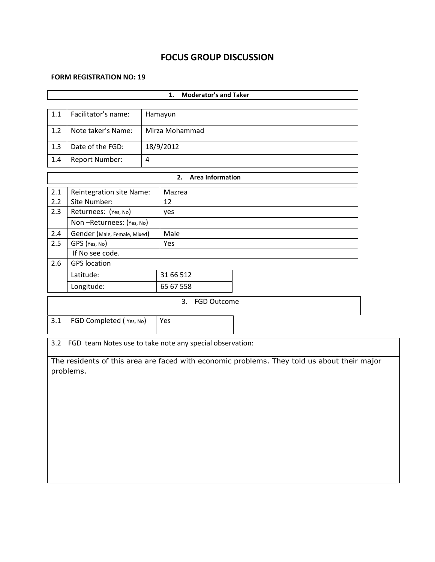# **FOCUS GROUP DISCUSSION**

#### **FORM REGISTRATION NO: 19**

|                                                                                                          |                                                          |         | <b>Moderator's and Taker</b><br>1. |  |  |  |  |  |  |
|----------------------------------------------------------------------------------------------------------|----------------------------------------------------------|---------|------------------------------------|--|--|--|--|--|--|
|                                                                                                          |                                                          |         |                                    |  |  |  |  |  |  |
| 1.1                                                                                                      | Facilitator's name:                                      | Hamayun |                                    |  |  |  |  |  |  |
| 1.2                                                                                                      | Note taker's Name:                                       |         | Mirza Mohammad                     |  |  |  |  |  |  |
| 1.3                                                                                                      | Date of the FGD:                                         |         | 18/9/2012                          |  |  |  |  |  |  |
| 1.4                                                                                                      | Report Number:                                           | 4       |                                    |  |  |  |  |  |  |
|                                                                                                          |                                                          |         | <b>Area Information</b><br>2.      |  |  |  |  |  |  |
| 2.1                                                                                                      | Reintegration site Name:                                 |         | Mazrea                             |  |  |  |  |  |  |
| 2.2                                                                                                      | Site Number:                                             |         | 12                                 |  |  |  |  |  |  |
| 2.3                                                                                                      | Returnees: (Yes, No)                                     |         | yes                                |  |  |  |  |  |  |
|                                                                                                          | Non-Returnees: (Yes, No)                                 |         |                                    |  |  |  |  |  |  |
| 2.4                                                                                                      | Gender (Male, Female, Mixed)                             |         | Male                               |  |  |  |  |  |  |
| 2.5                                                                                                      | GPS (Yes, No)                                            |         | Yes                                |  |  |  |  |  |  |
|                                                                                                          | If No see code.                                          |         |                                    |  |  |  |  |  |  |
| 2.6                                                                                                      | <b>GPS</b> location                                      |         |                                    |  |  |  |  |  |  |
|                                                                                                          | Latitude:                                                |         | 31 66 512                          |  |  |  |  |  |  |
|                                                                                                          | Longitude:                                               |         | 65 67 558                          |  |  |  |  |  |  |
|                                                                                                          |                                                          |         | 3.<br><b>FGD Outcome</b>           |  |  |  |  |  |  |
| 3.1                                                                                                      | FGD Completed (Yes, No)                                  |         | Yes                                |  |  |  |  |  |  |
| 3.2                                                                                                      | FGD team Notes use to take note any special observation: |         |                                    |  |  |  |  |  |  |
|                                                                                                          |                                                          |         |                                    |  |  |  |  |  |  |
| The residents of this area are faced with economic problems. They told us about their major<br>problems. |                                                          |         |                                    |  |  |  |  |  |  |
|                                                                                                          |                                                          |         |                                    |  |  |  |  |  |  |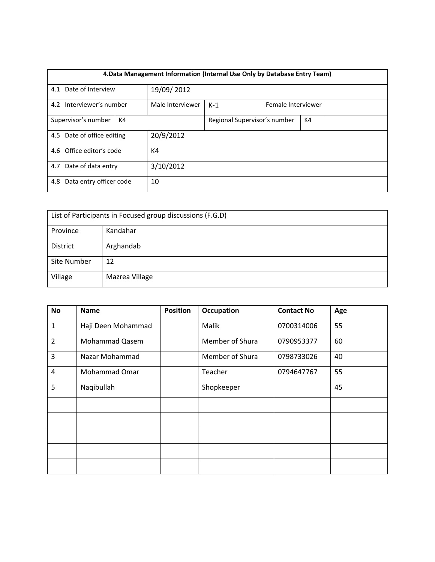| 4. Data Management Information (Internal Use Only by Database Entry Team) |  |                  |                              |  |    |  |  |
|---------------------------------------------------------------------------|--|------------------|------------------------------|--|----|--|--|
| 4.1 Date of Interview                                                     |  | 19/09/2012       |                              |  |    |  |  |
| 4.2 Interviewer's number                                                  |  | Male Interviewer | $K-1$<br>Female Interviewer  |  |    |  |  |
| Supervisor's number<br>K4                                                 |  |                  | Regional Supervisor's number |  | K4 |  |  |
| 4.5 Date of office editing                                                |  | 20/9/2012        |                              |  |    |  |  |
| 4.6 Office editor's code                                                  |  | K4               |                              |  |    |  |  |
| 4.7 Date of data entry                                                    |  | 3/10/2012        |                              |  |    |  |  |
| Data entry officer code<br>4.8                                            |  | 10               |                              |  |    |  |  |

| List of Participants in Focused group discussions (F.G.D) |                |  |  |  |
|-----------------------------------------------------------|----------------|--|--|--|
| Province                                                  | Kandahar       |  |  |  |
| District                                                  | Arghandab      |  |  |  |
| Site Number                                               | 12             |  |  |  |
| Village                                                   | Mazrea Village |  |  |  |

| No             | <b>Name</b>        | <b>Position</b> | Occupation      | <b>Contact No</b> | Age |
|----------------|--------------------|-----------------|-----------------|-------------------|-----|
| $\mathbf{1}$   | Haji Deen Mohammad |                 | Malik           | 0700314006        | 55  |
| $\overline{2}$ | Mohammad Qasem     |                 | Member of Shura | 0790953377        | 60  |
| 3              | Nazar Mohammad     |                 | Member of Shura | 0798733026        | 40  |
| 4              | Mohammad Omar      |                 | Teacher         | 0794647767        | 55  |
| 5              | Naqibullah         |                 | Shopkeeper      |                   | 45  |
|                |                    |                 |                 |                   |     |
|                |                    |                 |                 |                   |     |
|                |                    |                 |                 |                   |     |
|                |                    |                 |                 |                   |     |
|                |                    |                 |                 |                   |     |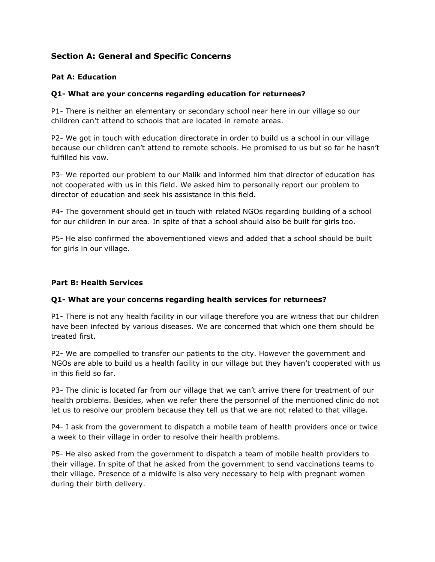# **Section A: General and Specific Concerns**

### **Pat A: Education**

#### **Q1- What are your concerns regarding education for returnees?**

P1- There is neither an elementary or secondary school near here in our village so our children can't attend to schools that are located in remote areas.

P2- We got in touch with education directorate in order to build us a school in our village because our children can't attend to remote schools. He promised to us but so far he hasn't fulfilled his vow.

P3- We reported our problem to our Malik and informed him that director of education has not cooperated with us in this field. We asked him to personally report our problem to director of education and seek his assistance in this field.

P4- The government should get in touch with related NGOs regarding building of a school for our children in our area. In spite of that a school should also be built for girls too.

P5- He also confirmed the abovementioned views and added that a school should be built for girls in our village.

### **Part B: Health Services**

#### **Q1- What are your concerns regarding health services for returnees?**

P1- There is not any health facility in our village therefore you are witness that our children have been infected by various diseases. We are concerned that which one them should be treated first.

P2- We are compelled to transfer our patients to the city. However the government and NGOs are able to build us a health facility in our village but they haven't cooperated with us in this field so far.

P3- The clinic is located far from our village that we can't arrive there for treatment of our health problems. Besides, when we refer there the personnel of the mentioned clinic do not let us to resolve our problem because they tell us that we are not related to that village.

P4- I ask from the government to dispatch a mobile team of health providers once or twice a week to their village in order to resolve their health problems.

P5- He also asked from the government to dispatch a team of mobile health providers to their village. In spite of that he asked from the government to send vaccinations teams to their village. Presence of a midwife is also very necessary to help with pregnant women during their birth delivery.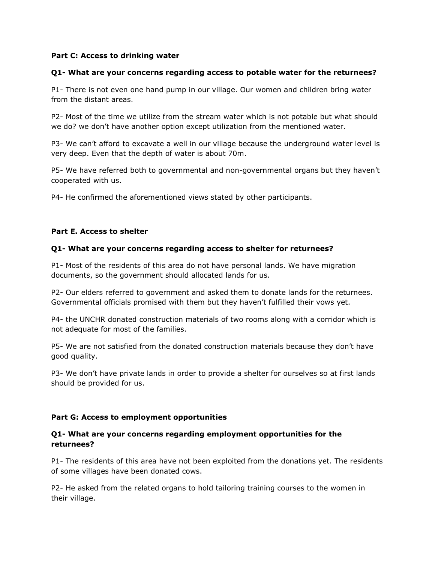#### **Part C: Access to drinking water**

#### **Q1- What are your concerns regarding access to potable water for the returnees?**

P1- There is not even one hand pump in our village. Our women and children bring water from the distant areas.

P2- Most of the time we utilize from the stream water which is not potable but what should we do? we don't have another option except utilization from the mentioned water.

P3- We can't afford to excavate a well in our village because the underground water level is very deep. Even that the depth of water is about 70m.

P5- We have referred both to governmental and non-governmental organs but they haven't cooperated with us.

P4- He confirmed the aforementioned views stated by other participants.

#### **Part E. Access to shelter**

#### **Q1- What are your concerns regarding access to shelter for returnees?**

P1- Most of the residents of this area do not have personal lands. We have migration documents, so the government should allocated lands for us.

P2- Our elders referred to government and asked them to donate lands for the returnees. Governmental officials promised with them but they haven't fulfilled their vows yet.

P4- the UNCHR donated construction materials of two rooms along with a corridor which is not adequate for most of the families.

P5- We are not satisfied from the donated construction materials because they don't have good quality.

P3- We don't have private lands in order to provide a shelter for ourselves so at first lands should be provided for us.

#### **Part G: Access to employment opportunities**

#### **Q1- What are your concerns regarding employment opportunities for the returnees?**

P1- The residents of this area have not been exploited from the donations yet. The residents of some villages have been donated cows.

P2- He asked from the related organs to hold tailoring training courses to the women in their village.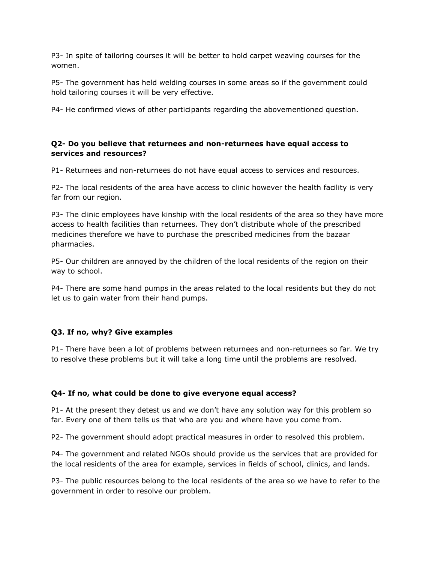P3- In spite of tailoring courses it will be better to hold carpet weaving courses for the women.

P5- The government has held welding courses in some areas so if the government could hold tailoring courses it will be very effective.

P4- He confirmed views of other participants regarding the abovementioned question.

#### **Q2- Do you believe that returnees and non-returnees have equal access to services and resources?**

P1- Returnees and non-returnees do not have equal access to services and resources.

P2- The local residents of the area have access to clinic however the health facility is very far from our region.

P3- The clinic employees have kinship with the local residents of the area so they have more access to health facilities than returnees. They don't distribute whole of the prescribed medicines therefore we have to purchase the prescribed medicines from the bazaar pharmacies.

P5- Our children are annoyed by the children of the local residents of the region on their way to school.

P4- There are some hand pumps in the areas related to the local residents but they do not let us to gain water from their hand pumps.

# **Q3. If no, why? Give examples**

P1- There have been a lot of problems between returnees and non-returnees so far. We try to resolve these problems but it will take a long time until the problems are resolved.

# **Q4- If no, what could be done to give everyone equal access?**

P1- At the present they detest us and we don't have any solution way for this problem so far. Every one of them tells us that who are you and where have you come from.

P2- The government should adopt practical measures in order to resolved this problem.

P4- The government and related NGOs should provide us the services that are provided for the local residents of the area for example, services in fields of school, clinics, and lands.

P3- The public resources belong to the local residents of the area so we have to refer to the government in order to resolve our problem.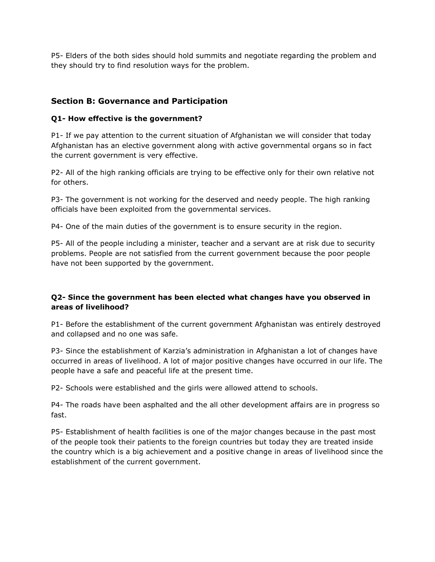P5- Elders of the both sides should hold summits and negotiate regarding the problem and they should try to find resolution ways for the problem.

# **Section B: Governance and Participation**

### **Q1- How effective is the government?**

P1- If we pay attention to the current situation of Afghanistan we will consider that today Afghanistan has an elective government along with active governmental organs so in fact the current government is very effective.

P2- All of the high ranking officials are trying to be effective only for their own relative not for others.

P3- The government is not working for the deserved and needy people. The high ranking officials have been exploited from the governmental services.

P4- One of the main duties of the government is to ensure security in the region.

P5- All of the people including a minister, teacher and a servant are at risk due to security problems. People are not satisfied from the current government because the poor people have not been supported by the government.

# **Q2- Since the government has been elected what changes have you observed in areas of livelihood?**

P1- Before the establishment of the current government Afghanistan was entirely destroyed and collapsed and no one was safe.

P3- Since the establishment of Karzia's administration in Afghanistan a lot of changes have occurred in areas of livelihood. A lot of major positive changes have occurred in our life. The people have a safe and peaceful life at the present time.

P2- Schools were established and the girls were allowed attend to schools.

P4- The roads have been asphalted and the all other development affairs are in progress so fast.

P5- Establishment of health facilities is one of the major changes because in the past most of the people took their patients to the foreign countries but today they are treated inside the country which is a big achievement and a positive change in areas of livelihood since the establishment of the current government.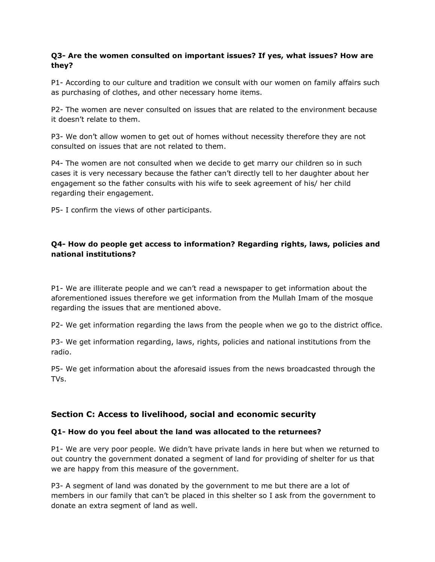## **Q3- Are the women consulted on important issues? If yes, what issues? How are they?**

P1- According to our culture and tradition we consult with our women on family affairs such as purchasing of clothes, and other necessary home items.

P2- The women are never consulted on issues that are related to the environment because it doesn't relate to them.

P3- We don't allow women to get out of homes without necessity therefore they are not consulted on issues that are not related to them.

P4- The women are not consulted when we decide to get marry our children so in such cases it is very necessary because the father can't directly tell to her daughter about her engagement so the father consults with his wife to seek agreement of his/ her child regarding their engagement.

P5- I confirm the views of other participants.

## **Q4- How do people get access to information? Regarding rights, laws, policies and national institutions?**

P1- We are illiterate people and we can't read a newspaper to get information about the aforementioned issues therefore we get information from the Mullah Imam of the mosque regarding the issues that are mentioned above.

P2- We get information regarding the laws from the people when we go to the district office.

P3- We get information regarding, laws, rights, policies and national institutions from the radio.

P5- We get information about the aforesaid issues from the news broadcasted through the TVs.

# **Section C: Access to livelihood, social and economic security**

#### **Q1- How do you feel about the land was allocated to the returnees?**

P1- We are very poor people. We didn't have private lands in here but when we returned to out country the government donated a segment of land for providing of shelter for us that we are happy from this measure of the government.

P3- A segment of land was donated by the government to me but there are a lot of members in our family that can't be placed in this shelter so I ask from the government to donate an extra segment of land as well.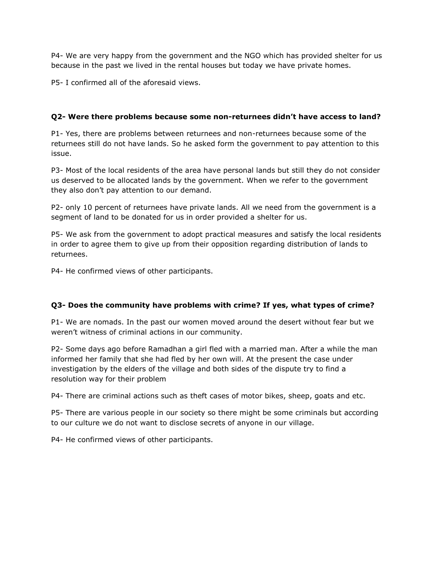P4- We are very happy from the government and the NGO which has provided shelter for us because in the past we lived in the rental houses but today we have private homes.

P5- I confirmed all of the aforesaid views.

# **Q2- Were there problems because some non-returnees didn't have access to land?**

P1- Yes, there are problems between returnees and non-returnees because some of the returnees still do not have lands. So he asked form the government to pay attention to this issue.

P3- Most of the local residents of the area have personal lands but still they do not consider us deserved to be allocated lands by the government. When we refer to the government they also don't pay attention to our demand.

P2- only 10 percent of returnees have private lands. All we need from the government is a segment of land to be donated for us in order provided a shelter for us.

P5- We ask from the government to adopt practical measures and satisfy the local residents in order to agree them to give up from their opposition regarding distribution of lands to returnees.

P4- He confirmed views of other participants.

# **Q3- Does the community have problems with crime? If yes, what types of crime?**

P1- We are nomads. In the past our women moved around the desert without fear but we weren't witness of criminal actions in our community.

P2- Some days ago before Ramadhan a girl fled with a married man. After a while the man informed her family that she had fled by her own will. At the present the case under investigation by the elders of the village and both sides of the dispute try to find a resolution way for their problem

P4- There are criminal actions such as theft cases of motor bikes, sheep, goats and etc.

P5- There are various people in our society so there might be some criminals but according to our culture we do not want to disclose secrets of anyone in our village.

P4- He confirmed views of other participants.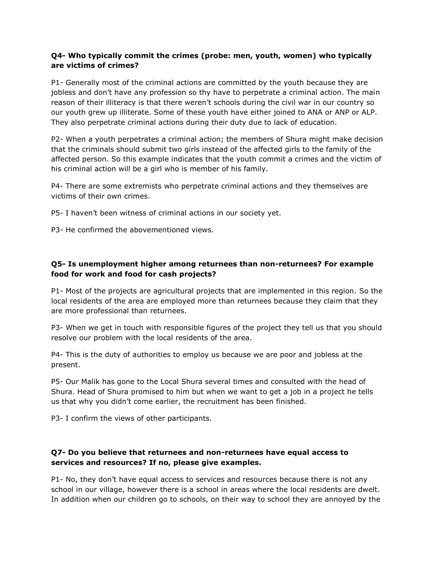## **Q4- Who typically commit the crimes (probe: men, youth, women) who typically are victims of crimes?**

P1- Generally most of the criminal actions are committed by the youth because they are jobless and don't have any profession so thy have to perpetrate a criminal action. The main reason of their illiteracy is that there weren't schools during the civil war in our country so our youth grew up illiterate. Some of these youth have either joined to ANA or ANP or ALP. They also perpetrate criminal actions during their duty due to lack of education.

P2- When a youth perpetrates a criminal action; the members of Shura might make decision that the criminals should submit two girls instead of the affected girls to the family of the affected person. So this example indicates that the youth commit a crimes and the victim of his criminal action will be a girl who is member of his family.

P4- There are some extremists who perpetrate criminal actions and they themselves are victims of their own crimes.

P5- I haven't been witness of criminal actions in our society yet.

P3- He confirmed the abovementioned views.

# **Q5- Is unemployment higher among returnees than non-returnees? For example food for work and food for cash projects?**

P1- Most of the projects are agricultural projects that are implemented in this region. So the local residents of the area are employed more than returnees because they claim that they are more professional than returnees.

P3- When we get in touch with responsible figures of the project they tell us that you should resolve our problem with the local residents of the area.

P4- This is the duty of authorities to employ us because we are poor and jobless at the present.

P5- Our Malik has gone to the Local Shura several times and consulted with the head of Shura. Head of Shura promised to him but when we want to get a job in a project he tells us that why you didn't come earlier, the recruitment has been finished.

P3- I confirm the views of other participants.

# **Q7- Do you believe that returnees and non-returnees have equal access to services and resources? If no, please give examples.**

P1- No, they don't have equal access to services and resources because there is not any school in our village, however there is a school in areas where the local residents are dwelt. In addition when our children go to schools, on their way to school they are annoyed by the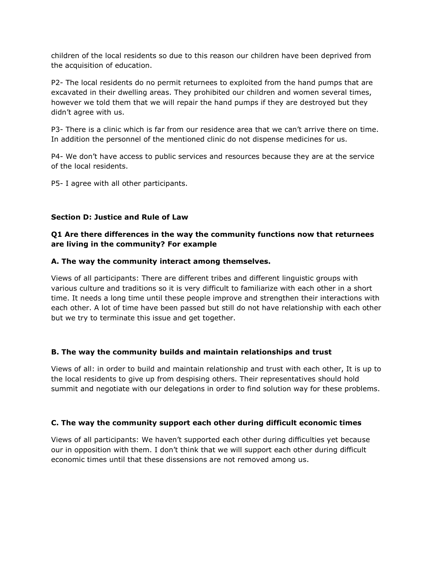children of the local residents so due to this reason our children have been deprived from the acquisition of education.

P2- The local residents do no permit returnees to exploited from the hand pumps that are excavated in their dwelling areas. They prohibited our children and women several times, however we told them that we will repair the hand pumps if they are destroyed but they didn't agree with us.

P3- There is a clinic which is far from our residence area that we can't arrive there on time. In addition the personnel of the mentioned clinic do not dispense medicines for us.

P4- We don't have access to public services and resources because they are at the service of the local residents.

P5- I agree with all other participants.

#### **Section D: Justice and Rule of Law**

### **Q1 Are there differences in the way the community functions now that returnees are living in the community? For example**

#### **A. The way the community interact among themselves.**

Views of all participants: There are different tribes and different linguistic groups with various culture and traditions so it is very difficult to familiarize with each other in a short time. It needs a long time until these people improve and strengthen their interactions with each other. A lot of time have been passed but still do not have relationship with each other but we try to terminate this issue and get together.

#### **B. The way the community builds and maintain relationships and trust**

Views of all: in order to build and maintain relationship and trust with each other, It is up to the local residents to give up from despising others. Their representatives should hold summit and negotiate with our delegations in order to find solution way for these problems.

#### **C. The way the community support each other during difficult economic times**

Views of all participants: We haven't supported each other during difficulties yet because our in opposition with them. I don't think that we will support each other during difficult economic times until that these dissensions are not removed among us.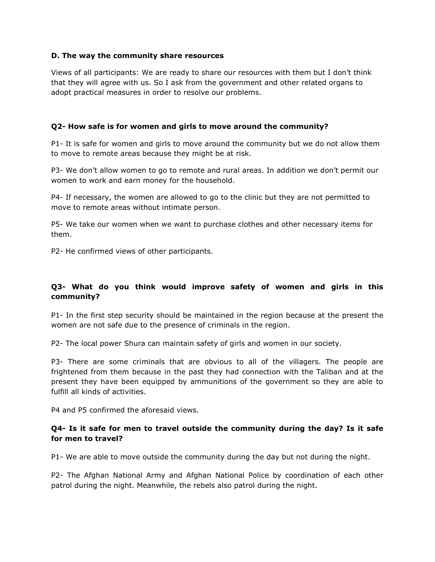#### **D. The way the community share resources**

Views of all participants: We are ready to share our resources with them but I don't think that they will agree with us. So I ask from the government and other related organs to adopt practical measures in order to resolve our problems.

#### **Q2- How safe is for women and girls to move around the community?**

P1- It is safe for women and girls to move around the community but we do not allow them to move to remote areas because they might be at risk.

P3- We don't allow women to go to remote and rural areas. In addition we don't permit our women to work and earn money for the household.

P4- If necessary, the women are allowed to go to the clinic but they are not permitted to move to remote areas without intimate person.

P5- We take our women when we want to purchase clothes and other necessary items for them.

P2- He confirmed views of other participants.

#### **Q3- What do you think would improve safety of women and girls in this community?**

P1- In the first step security should be maintained in the region because at the present the women are not safe due to the presence of criminals in the region.

P2- The local power Shura can maintain safety of girls and women in our society.

P3- There are some criminals that are obvious to all of the villagers. The people are frightened from them because in the past they had connection with the Taliban and at the present they have been equipped by ammunitions of the government so they are able to fulfill all kinds of activities.

P4 and P5 confirmed the aforesaid views.

#### **Q4- Is it safe for men to travel outside the community during the day? Is it safe for men to travel?**

P1- We are able to move outside the community during the day but not during the night.

P2- The Afghan National Army and Afghan National Police by coordination of each other patrol during the night. Meanwhile, the rebels also patrol during the night.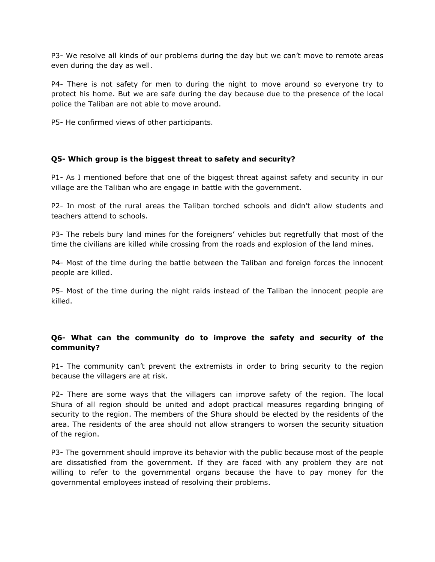P3- We resolve all kinds of our problems during the day but we can't move to remote areas even during the day as well.

P4- There is not safety for men to during the night to move around so everyone try to protect his home. But we are safe during the day because due to the presence of the local police the Taliban are not able to move around.

P5- He confirmed views of other participants.

#### **Q5- Which group is the biggest threat to safety and security?**

P1- As I mentioned before that one of the biggest threat against safety and security in our village are the Taliban who are engage in battle with the government.

P2- In most of the rural areas the Taliban torched schools and didn't allow students and teachers attend to schools.

P3- The rebels bury land mines for the foreigners' vehicles but regretfully that most of the time the civilians are killed while crossing from the roads and explosion of the land mines.

P4- Most of the time during the battle between the Taliban and foreign forces the innocent people are killed.

P5- Most of the time during the night raids instead of the Taliban the innocent people are killed.

#### **Q6- What can the community do to improve the safety and security of the community?**

P1- The community can't prevent the extremists in order to bring security to the region because the villagers are at risk.

P2- There are some ways that the villagers can improve safety of the region. The local Shura of all region should be united and adopt practical measures regarding bringing of security to the region. The members of the Shura should be elected by the residents of the area. The residents of the area should not allow strangers to worsen the security situation of the region.

P3- The government should improve its behavior with the public because most of the people are dissatisfied from the government. If they are faced with any problem they are not willing to refer to the governmental organs because the have to pay money for the governmental employees instead of resolving their problems.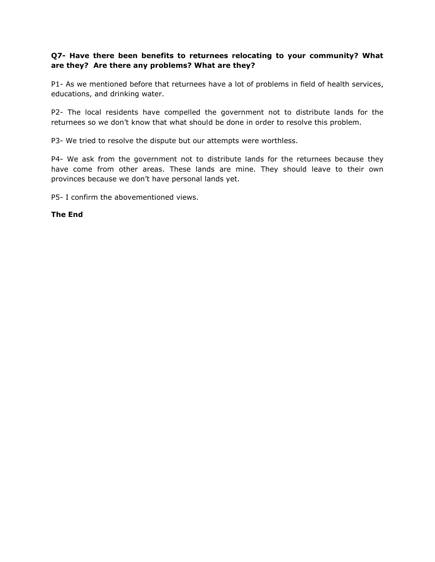### **Q7- Have there been benefits to returnees relocating to your community? What are they? Are there any problems? What are they?**

P1- As we mentioned before that returnees have a lot of problems in field of health services, educations, and drinking water.

P2- The local residents have compelled the government not to distribute lands for the returnees so we don't know that what should be done in order to resolve this problem.

P3- We tried to resolve the dispute but our attempts were worthless.

P4- We ask from the government not to distribute lands for the returnees because they have come from other areas. These lands are mine. They should leave to their own provinces because we don't have personal lands yet.

P5- I confirm the abovementioned views.

#### **The End**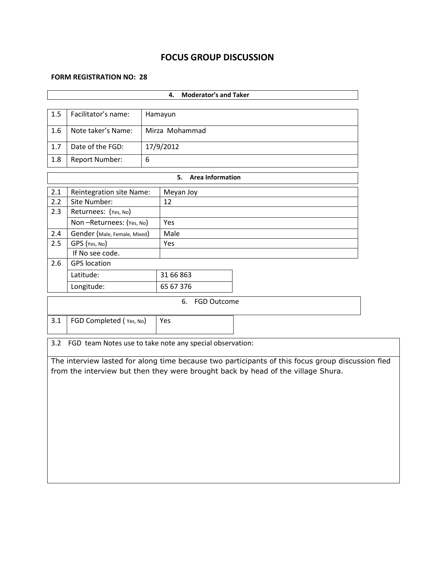# **FOCUS GROUP DISCUSSION**

#### **FORM REGISTRATION NO: 28**

| <b>Moderator's and Taker</b><br>4.                                                                                                                                                   |                                 |   |                                                          |  |  |  |  |
|--------------------------------------------------------------------------------------------------------------------------------------------------------------------------------------|---------------------------------|---|----------------------------------------------------------|--|--|--|--|
|                                                                                                                                                                                      |                                 |   |                                                          |  |  |  |  |
| 1.5                                                                                                                                                                                  | Facilitator's name:             |   | Hamayun                                                  |  |  |  |  |
| 1.6                                                                                                                                                                                  | Note taker's Name:              |   | Mirza Mohammad                                           |  |  |  |  |
| 1.7                                                                                                                                                                                  | Date of the FGD:                |   | 17/9/2012                                                |  |  |  |  |
| 1.8                                                                                                                                                                                  | <b>Report Number:</b>           | 6 |                                                          |  |  |  |  |
|                                                                                                                                                                                      |                                 |   | <b>Area Information</b><br>5.                            |  |  |  |  |
| 2.1                                                                                                                                                                                  | <b>Reintegration site Name:</b> |   | Meyan Joy                                                |  |  |  |  |
| 2.2                                                                                                                                                                                  | Site Number:                    |   | 12                                                       |  |  |  |  |
| 2.3                                                                                                                                                                                  | Returnees: (Yes, No)            |   |                                                          |  |  |  |  |
|                                                                                                                                                                                      | Non-Returnees: (Yes, No)        |   | Yes                                                      |  |  |  |  |
| 2.4                                                                                                                                                                                  | Gender (Male, Female, Mixed)    |   | Male                                                     |  |  |  |  |
| 2.5                                                                                                                                                                                  | GPS (Yes, No)                   |   | Yes                                                      |  |  |  |  |
|                                                                                                                                                                                      | If No see code.                 |   |                                                          |  |  |  |  |
| 2.6                                                                                                                                                                                  | <b>GPS</b> location             |   |                                                          |  |  |  |  |
|                                                                                                                                                                                      | Latitude:                       |   | 31 66 863                                                |  |  |  |  |
|                                                                                                                                                                                      | 65 67 376<br>Longitude:         |   |                                                          |  |  |  |  |
| 6. FGD Outcome                                                                                                                                                                       |                                 |   |                                                          |  |  |  |  |
| 3.1<br>FGD Completed (Yes, No)<br><b>Yes</b>                                                                                                                                         |                                 |   |                                                          |  |  |  |  |
| 3.2                                                                                                                                                                                  |                                 |   | FGD team Notes use to take note any special observation: |  |  |  |  |
| The interview lasted for along time because two participants of this focus group discussion fled<br>from the interview but then they were brought back by head of the village Shura. |                                 |   |                                                          |  |  |  |  |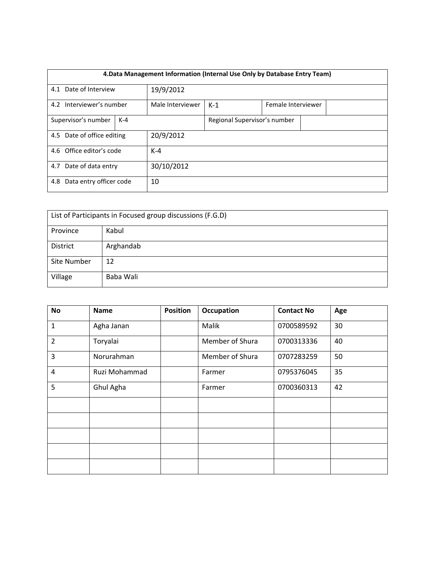| 4. Data Management Information (Internal Use Only by Database Entry Team) |  |                  |                              |  |  |  |  |
|---------------------------------------------------------------------------|--|------------------|------------------------------|--|--|--|--|
| 4.1 Date of Interview                                                     |  | 19/9/2012        |                              |  |  |  |  |
| 4.2 Interviewer's number                                                  |  | Male Interviewer | $K-1$<br>Female Interviewer  |  |  |  |  |
| Supervisor's number<br>$K-4$                                              |  |                  | Regional Supervisor's number |  |  |  |  |
| 4.5 Date of office editing                                                |  | 20/9/2012        |                              |  |  |  |  |
| 4.6 Office editor's code                                                  |  |                  | $K-4$                        |  |  |  |  |
| 4.7 Date of data entry                                                    |  | 30/10/2012       |                              |  |  |  |  |
| Data entry officer code<br>4.8                                            |  | 10               |                              |  |  |  |  |

| List of Participants in Focused group discussions (F.G.D) |           |  |  |  |  |
|-----------------------------------------------------------|-----------|--|--|--|--|
| Province                                                  | Kabul     |  |  |  |  |
| District                                                  | Arghandab |  |  |  |  |
| Site Number                                               | 12        |  |  |  |  |
| Village                                                   | Baba Wali |  |  |  |  |

| <b>No</b>      | <b>Name</b>   | <b>Position</b> | <b>Occupation</b> | <b>Contact No</b> | Age |
|----------------|---------------|-----------------|-------------------|-------------------|-----|
| $\mathbf{1}$   | Agha Janan    |                 | Malik             | 0700589592        | 30  |
| 2              | Toryalai      |                 | Member of Shura   | 0700313336        | 40  |
| 3              | Norurahman    |                 | Member of Shura   | 0707283259        | 50  |
| $\overline{4}$ | Ruzi Mohammad |                 | Farmer            | 0795376045        | 35  |
| 5              | Ghul Agha     |                 | Farmer            | 0700360313        | 42  |
|                |               |                 |                   |                   |     |
|                |               |                 |                   |                   |     |
|                |               |                 |                   |                   |     |
|                |               |                 |                   |                   |     |
|                |               |                 |                   |                   |     |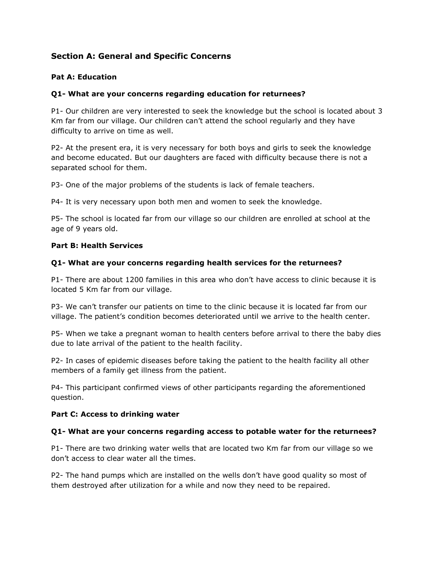# **Section A: General and Specific Concerns**

### **Pat A: Education**

#### **Q1- What are your concerns regarding education for returnees?**

P1- Our children are very interested to seek the knowledge but the school is located about 3 Km far from our village. Our children can't attend the school regularly and they have difficulty to arrive on time as well.

P2- At the present era, it is very necessary for both boys and girls to seek the knowledge and become educated. But our daughters are faced with difficulty because there is not a separated school for them.

P3- One of the major problems of the students is lack of female teachers.

P4- It is very necessary upon both men and women to seek the knowledge.

P5- The school is located far from our village so our children are enrolled at school at the age of 9 years old.

#### **Part B: Health Services**

#### **Q1- What are your concerns regarding health services for the returnees?**

P1- There are about 1200 families in this area who don't have access to clinic because it is located 5 Km far from our village.

P3- We can't transfer our patients on time to the clinic because it is located far from our village. The patient's condition becomes deteriorated until we arrive to the health center.

P5- When we take a pregnant woman to health centers before arrival to there the baby dies due to late arrival of the patient to the health facility.

P2- In cases of epidemic diseases before taking the patient to the health facility all other members of a family get illness from the patient.

P4- This participant confirmed views of other participants regarding the aforementioned question.

#### **Part C: Access to drinking water**

#### **Q1- What are your concerns regarding access to potable water for the returnees?**

P1- There are two drinking water wells that are located two Km far from our village so we don't access to clear water all the times.

P2- The hand pumps which are installed on the wells don't have good quality so most of them destroyed after utilization for a while and now they need to be repaired.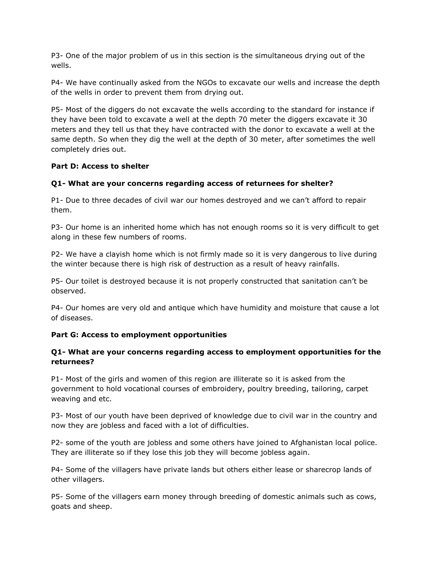P3- One of the major problem of us in this section is the simultaneous drying out of the wells.

P4- We have continually asked from the NGOs to excavate our wells and increase the depth of the wells in order to prevent them from drying out.

P5- Most of the diggers do not excavate the wells according to the standard for instance if they have been told to excavate a well at the depth 70 meter the diggers excavate it 30 meters and they tell us that they have contracted with the donor to excavate a well at the same depth. So when they dig the well at the depth of 30 meter, after sometimes the well completely dries out.

## **Part D: Access to shelter**

## **Q1- What are your concerns regarding access of returnees for shelter?**

P1- Due to three decades of civil war our homes destroyed and we can't afford to repair them.

P3- Our home is an inherited home which has not enough rooms so it is very difficult to get along in these few numbers of rooms.

P2- We have a clayish home which is not firmly made so it is very dangerous to live during the winter because there is high risk of destruction as a result of heavy rainfalls.

P5- Our toilet is destroyed because it is not properly constructed that sanitation can't be observed.

P4- Our homes are very old and antique which have humidity and moisture that cause a lot of diseases.

#### **Part G: Access to employment opportunities**

## **Q1- What are your concerns regarding access to employment opportunities for the returnees?**

P1- Most of the girls and women of this region are illiterate so it is asked from the government to hold vocational courses of embroidery, poultry breeding, tailoring, carpet weaving and etc.

P3- Most of our youth have been deprived of knowledge due to civil war in the country and now they are jobless and faced with a lot of difficulties.

P2- some of the youth are jobless and some others have joined to Afghanistan local police. They are illiterate so if they lose this job they will become jobless again.

P4- Some of the villagers have private lands but others either lease or sharecrop lands of other villagers.

P5- Some of the villagers earn money through breeding of domestic animals such as cows, goats and sheep.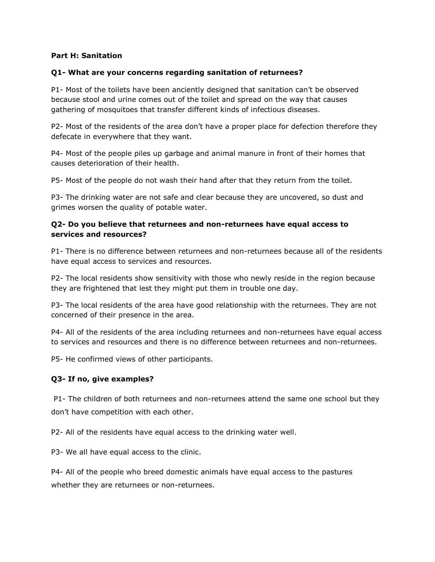#### **Part H: Sanitation**

#### **Q1- What are your concerns regarding sanitation of returnees?**

P1- Most of the toilets have been anciently designed that sanitation can't be observed because stool and urine comes out of the toilet and spread on the way that causes gathering of mosquitoes that transfer different kinds of infectious diseases.

P2- Most of the residents of the area don't have a proper place for defection therefore they defecate in everywhere that they want.

P4- Most of the people piles up garbage and animal manure in front of their homes that causes deterioration of their health.

P5- Most of the people do not wash their hand after that they return from the toilet.

P3- The drinking water are not safe and clear because they are uncovered, so dust and grimes worsen the quality of potable water.

#### **Q2- Do you believe that returnees and non-returnees have equal access to services and resources?**

P1- There is no difference between returnees and non-returnees because all of the residents have equal access to services and resources.

P2- The local residents show sensitivity with those who newly reside in the region because they are frightened that lest they might put them in trouble one day.

P3- The local residents of the area have good relationship with the returnees. They are not concerned of their presence in the area.

P4- All of the residents of the area including returnees and non-returnees have equal access to services and resources and there is no difference between returnees and non-returnees.

P5- He confirmed views of other participants.

#### **Q3- If no, give examples?**

P1- The children of both returnees and non-returnees attend the same one school but they don't have competition with each other.

P2- All of the residents have equal access to the drinking water well.

P3- We all have equal access to the clinic.

P4- All of the people who breed domestic animals have equal access to the pastures whether they are returnees or non-returnees.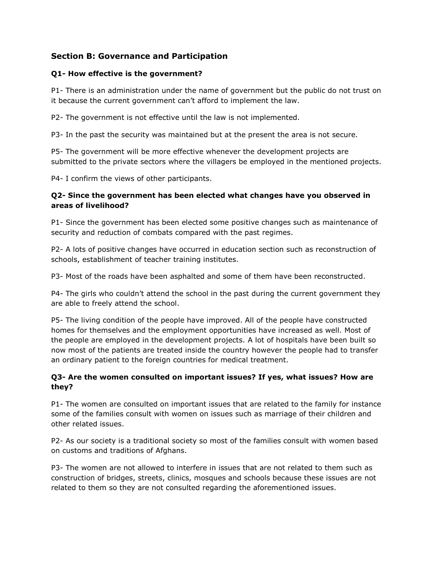# **Section B: Governance and Participation**

### **Q1- How effective is the government?**

P1- There is an administration under the name of government but the public do not trust on it because the current government can't afford to implement the law.

P2- The government is not effective until the law is not implemented.

P3- In the past the security was maintained but at the present the area is not secure.

P5- The government will be more effective whenever the development projects are submitted to the private sectors where the villagers be employed in the mentioned projects.

P4- I confirm the views of other participants.

## **Q2- Since the government has been elected what changes have you observed in areas of livelihood?**

P1- Since the government has been elected some positive changes such as maintenance of security and reduction of combats compared with the past regimes.

P2- A lots of positive changes have occurred in education section such as reconstruction of schools, establishment of teacher training institutes.

P3- Most of the roads have been asphalted and some of them have been reconstructed.

P4- The girls who couldn't attend the school in the past during the current government they are able to freely attend the school.

P5- The living condition of the people have improved. All of the people have constructed homes for themselves and the employment opportunities have increased as well. Most of the people are employed in the development projects. A lot of hospitals have been built so now most of the patients are treated inside the country however the people had to transfer an ordinary patient to the foreign countries for medical treatment.

## **Q3- Are the women consulted on important issues? If yes, what issues? How are they?**

P1- The women are consulted on important issues that are related to the family for instance some of the families consult with women on issues such as marriage of their children and other related issues.

P2- As our society is a traditional society so most of the families consult with women based on customs and traditions of Afghans.

P3- The women are not allowed to interfere in issues that are not related to them such as construction of bridges, streets, clinics, mosques and schools because these issues are not related to them so they are not consulted regarding the aforementioned issues.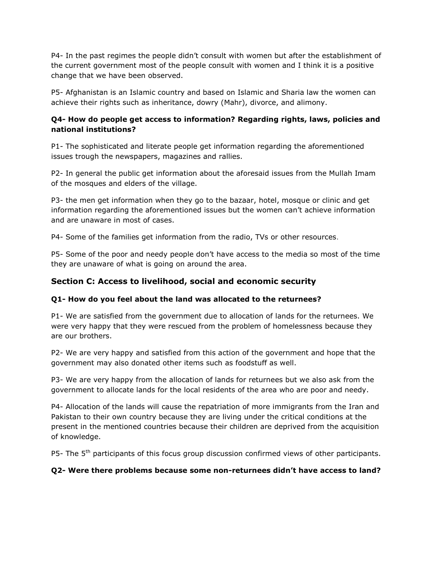P4- In the past regimes the people didn't consult with women but after the establishment of the current government most of the people consult with women and I think it is a positive change that we have been observed.

P5- Afghanistan is an Islamic country and based on Islamic and Sharia law the women can achieve their rights such as inheritance, dowry (Mahr), divorce, and alimony.

## **Q4- How do people get access to information? Regarding rights, laws, policies and national institutions?**

P1- The sophisticated and literate people get information regarding the aforementioned issues trough the newspapers, magazines and rallies.

P2- In general the public get information about the aforesaid issues from the Mullah Imam of the mosques and elders of the village.

P3- the men get information when they go to the bazaar, hotel, mosque or clinic and get information regarding the aforementioned issues but the women can't achieve information and are unaware in most of cases.

P4- Some of the families get information from the radio, TVs or other resources.

P5- Some of the poor and needy people don't have access to the media so most of the time they are unaware of what is going on around the area.

# **Section C: Access to livelihood, social and economic security**

#### **Q1- How do you feel about the land was allocated to the returnees?**

P1- We are satisfied from the government due to allocation of lands for the returnees. We were very happy that they were rescued from the problem of homelessness because they are our brothers.

P2- We are very happy and satisfied from this action of the government and hope that the government may also donated other items such as foodstuff as well.

P3- We are very happy from the allocation of lands for returnees but we also ask from the government to allocate lands for the local residents of the area who are poor and needy.

P4- Allocation of the lands will cause the repatriation of more immigrants from the Iran and Pakistan to their own country because they are living under the critical conditions at the present in the mentioned countries because their children are deprived from the acquisition of knowledge.

P5- The 5<sup>th</sup> participants of this focus group discussion confirmed views of other participants.

# **Q2- Were there problems because some non-returnees didn't have access to land?**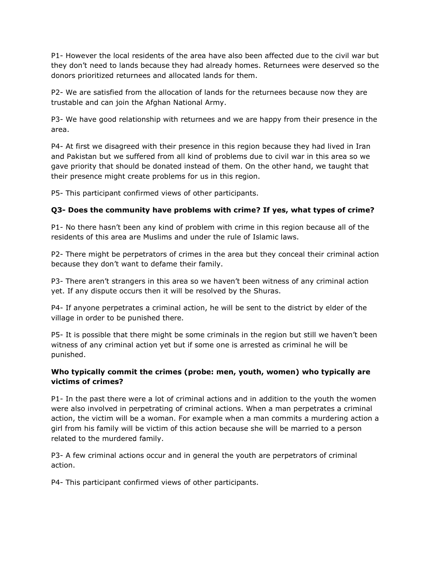P1- However the local residents of the area have also been affected due to the civil war but they don't need to lands because they had already homes. Returnees were deserved so the donors prioritized returnees and allocated lands for them.

P2- We are satisfied from the allocation of lands for the returnees because now they are trustable and can join the Afghan National Army.

P3- We have good relationship with returnees and we are happy from their presence in the area.

P4- At first we disagreed with their presence in this region because they had lived in Iran and Pakistan but we suffered from all kind of problems due to civil war in this area so we gave priority that should be donated instead of them. On the other hand, we taught that their presence might create problems for us in this region.

P5- This participant confirmed views of other participants.

# **Q3- Does the community have problems with crime? If yes, what types of crime?**

P1- No there hasn't been any kind of problem with crime in this region because all of the residents of this area are Muslims and under the rule of Islamic laws.

P2- There might be perpetrators of crimes in the area but they conceal their criminal action because they don't want to defame their family.

P3- There aren't strangers in this area so we haven't been witness of any criminal action yet. If any dispute occurs then it will be resolved by the Shuras.

P4- If anyone perpetrates a criminal action, he will be sent to the district by elder of the village in order to be punished there.

P5- It is possible that there might be some criminals in the region but still we haven't been witness of any criminal action yet but if some one is arrested as criminal he will be punished.

## **Who typically commit the crimes (probe: men, youth, women) who typically are victims of crimes?**

P1- In the past there were a lot of criminal actions and in addition to the youth the women were also involved in perpetrating of criminal actions. When a man perpetrates a criminal action, the victim will be a woman. For example when a man commits a murdering action a girl from his family will be victim of this action because she will be married to a person related to the murdered family.

P3- A few criminal actions occur and in general the youth are perpetrators of criminal action.

P4- This participant confirmed views of other participants.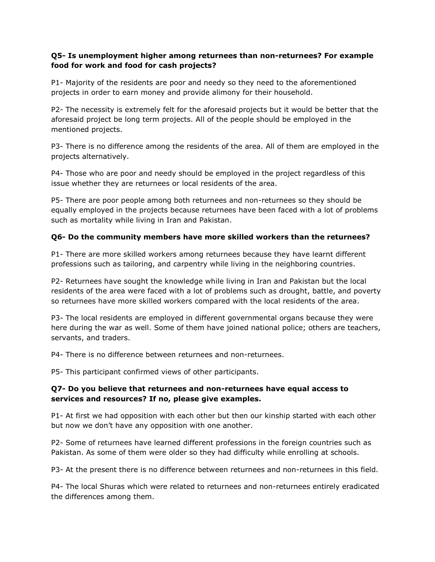## **Q5- Is unemployment higher among returnees than non-returnees? For example food for work and food for cash projects?**

P1- Majority of the residents are poor and needy so they need to the aforementioned projects in order to earn money and provide alimony for their household.

P2- The necessity is extremely felt for the aforesaid projects but it would be better that the aforesaid project be long term projects. All of the people should be employed in the mentioned projects.

P3- There is no difference among the residents of the area. All of them are employed in the projects alternatively.

P4- Those who are poor and needy should be employed in the project regardless of this issue whether they are returnees or local residents of the area.

P5- There are poor people among both returnees and non-returnees so they should be equally employed in the projects because returnees have been faced with a lot of problems such as mortality while living in Iran and Pakistan.

# **Q6- Do the community members have more skilled workers than the returnees?**

P1- There are more skilled workers among returnees because they have learnt different professions such as tailoring, and carpentry while living in the neighboring countries.

P2- Returnees have sought the knowledge while living in Iran and Pakistan but the local residents of the area were faced with a lot of problems such as drought, battle, and poverty so returnees have more skilled workers compared with the local residents of the area.

P3- The local residents are employed in different governmental organs because they were here during the war as well. Some of them have joined national police; others are teachers, servants, and traders.

P4- There is no difference between returnees and non-returnees.

P5- This participant confirmed views of other participants.

## **Q7- Do you believe that returnees and non-returnees have equal access to services and resources? If no, please give examples.**

P1- At first we had opposition with each other but then our kinship started with each other but now we don't have any opposition with one another.

P2- Some of returnees have learned different professions in the foreign countries such as Pakistan. As some of them were older so they had difficulty while enrolling at schools.

P3- At the present there is no difference between returnees and non-returnees in this field.

P4- The local Shuras which were related to returnees and non-returnees entirely eradicated the differences among them.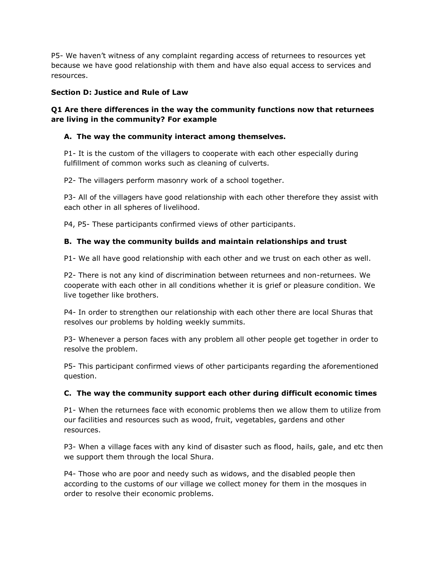P5- We haven't witness of any complaint regarding access of returnees to resources yet because we have good relationship with them and have also equal access to services and resources.

### **Section D: Justice and Rule of Law**

## **Q1 Are there differences in the way the community functions now that returnees are living in the community? For example**

## **A. The way the community interact among themselves.**

P1- It is the custom of the villagers to cooperate with each other especially during fulfillment of common works such as cleaning of culverts.

P2- The villagers perform masonry work of a school together.

P3- All of the villagers have good relationship with each other therefore they assist with each other in all spheres of livelihood.

P4, P5- These participants confirmed views of other participants.

## **B. The way the community builds and maintain relationships and trust**

P1- We all have good relationship with each other and we trust on each other as well.

P2- There is not any kind of discrimination between returnees and non-returnees. We cooperate with each other in all conditions whether it is grief or pleasure condition. We live together like brothers.

P4- In order to strengthen our relationship with each other there are local Shuras that resolves our problems by holding weekly summits.

P3- Whenever a person faces with any problem all other people get together in order to resolve the problem.

P5- This participant confirmed views of other participants regarding the aforementioned question.

# **C. The way the community support each other during difficult economic times**

P1- When the returnees face with economic problems then we allow them to utilize from our facilities and resources such as wood, fruit, vegetables, gardens and other resources.

P3- When a village faces with any kind of disaster such as flood, hails, gale, and etc then we support them through the local Shura.

P4- Those who are poor and needy such as widows, and the disabled people then according to the customs of our village we collect money for them in the mosques in order to resolve their economic problems.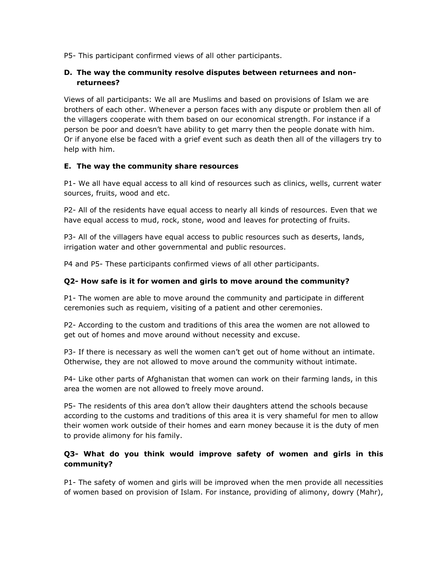P5- This participant confirmed views of all other participants.

## **D. The way the community resolve disputes between returnees and nonreturnees?**

Views of all participants: We all are Muslims and based on provisions of Islam we are brothers of each other. Whenever a person faces with any dispute or problem then all of the villagers cooperate with them based on our economical strength. For instance if a person be poor and doesn't have ability to get marry then the people donate with him. Or if anyone else be faced with a grief event such as death then all of the villagers try to help with him.

#### **E. The way the community share resources**

P1- We all have equal access to all kind of resources such as clinics, wells, current water sources, fruits, wood and etc.

P2- All of the residents have equal access to nearly all kinds of resources. Even that we have equal access to mud, rock, stone, wood and leaves for protecting of fruits.

P3- All of the villagers have equal access to public resources such as deserts, lands, irrigation water and other governmental and public resources.

P4 and P5- These participants confirmed views of all other participants.

#### **Q2- How safe is it for women and girls to move around the community?**

P1- The women are able to move around the community and participate in different ceremonies such as requiem, visiting of a patient and other ceremonies.

P2- According to the custom and traditions of this area the women are not allowed to get out of homes and move around without necessity and excuse.

P3- If there is necessary as well the women can't get out of home without an intimate. Otherwise, they are not allowed to move around the community without intimate.

P4- Like other parts of Afghanistan that women can work on their farming lands, in this area the women are not allowed to freely move around.

P5- The residents of this area don't allow their daughters attend the schools because according to the customs and traditions of this area it is very shameful for men to allow their women work outside of their homes and earn money because it is the duty of men to provide alimony for his family.

## **Q3- What do you think would improve safety of women and girls in this community?**

P1- The safety of women and girls will be improved when the men provide all necessities of women based on provision of Islam. For instance, providing of alimony, dowry (Mahr),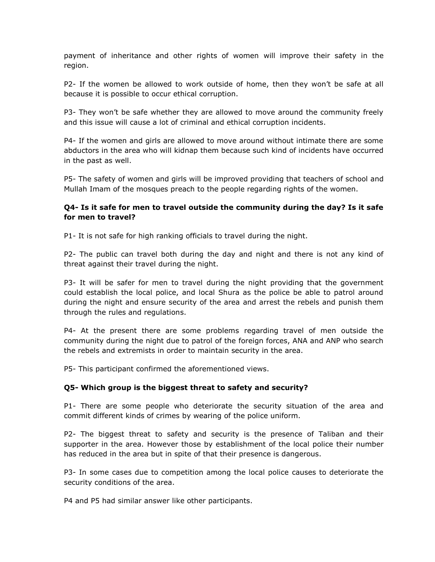payment of inheritance and other rights of women will improve their safety in the region.

P2- If the women be allowed to work outside of home, then they won't be safe at all because it is possible to occur ethical corruption.

P3- They won't be safe whether they are allowed to move around the community freely and this issue will cause a lot of criminal and ethical corruption incidents.

P4- If the women and girls are allowed to move around without intimate there are some abductors in the area who will kidnap them because such kind of incidents have occurred in the past as well.

P5- The safety of women and girls will be improved providing that teachers of school and Mullah Imam of the mosques preach to the people regarding rights of the women.

## **Q4- Is it safe for men to travel outside the community during the day? Is it safe for men to travel?**

P1- It is not safe for high ranking officials to travel during the night.

P2- The public can travel both during the day and night and there is not any kind of threat against their travel during the night.

P3- It will be safer for men to travel during the night providing that the government could establish the local police, and local Shura as the police be able to patrol around during the night and ensure security of the area and arrest the rebels and punish them through the rules and regulations.

P4- At the present there are some problems regarding travel of men outside the community during the night due to patrol of the foreign forces, ANA and ANP who search the rebels and extremists in order to maintain security in the area.

P5- This participant confirmed the aforementioned views.

#### **Q5- Which group is the biggest threat to safety and security?**

P1- There are some people who deteriorate the security situation of the area and commit different kinds of crimes by wearing of the police uniform.

P2- The biggest threat to safety and security is the presence of Taliban and their supporter in the area. However those by establishment of the local police their number has reduced in the area but in spite of that their presence is dangerous.

P3- In some cases due to competition among the local police causes to deteriorate the security conditions of the area.

P4 and P5 had similar answer like other participants.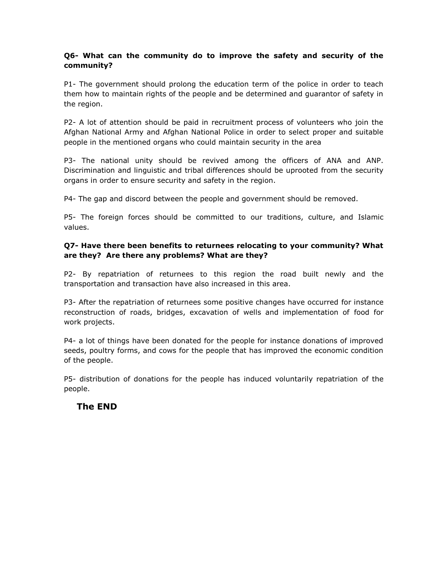## **Q6- What can the community do to improve the safety and security of the community?**

P1- The government should prolong the education term of the police in order to teach them how to maintain rights of the people and be determined and guarantor of safety in the region.

P2- A lot of attention should be paid in recruitment process of volunteers who join the Afghan National Army and Afghan National Police in order to select proper and suitable people in the mentioned organs who could maintain security in the area

P3- The national unity should be revived among the officers of ANA and ANP. Discrimination and linguistic and tribal differences should be uprooted from the security organs in order to ensure security and safety in the region.

P4- The gap and discord between the people and government should be removed.

P5- The foreign forces should be committed to our traditions, culture, and Islamic values.

## **Q7- Have there been benefits to returnees relocating to your community? What are they? Are there any problems? What are they?**

P2- By repatriation of returnees to this region the road built newly and the transportation and transaction have also increased in this area.

P3- After the repatriation of returnees some positive changes have occurred for instance reconstruction of roads, bridges, excavation of wells and implementation of food for work projects.

P4- a lot of things have been donated for the people for instance donations of improved seeds, poultry forms, and cows for the people that has improved the economic condition of the people.

P5- distribution of donations for the people has induced voluntarily repatriation of the people.

# **The END**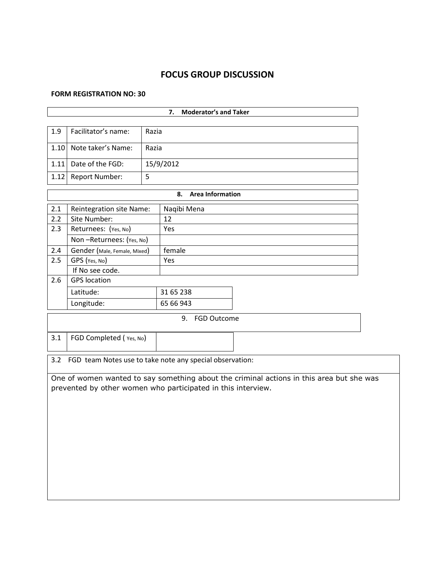# **FOCUS GROUP DISCUSSION**

#### **FORM REGISTRATION NO: 30**

3.1 FGD Completed (Yes, No)

| <b>Moderator's and Taker</b><br>7. |                                 |       |             |  |  |  |  |
|------------------------------------|---------------------------------|-------|-------------|--|--|--|--|
|                                    |                                 |       |             |  |  |  |  |
| 1.9                                | Facilitator's name:             | Razia |             |  |  |  |  |
| 1.10                               | Note taker's Name:              | Razia |             |  |  |  |  |
| 1.11                               | Date of the FGD:                |       | 15/9/2012   |  |  |  |  |
| 1.12                               | <b>Report Number:</b>           | 5     |             |  |  |  |  |
|                                    | 8.<br><b>Area Information</b>   |       |             |  |  |  |  |
| 2.1                                | <b>Reintegration site Name:</b> |       | Naqibi Mena |  |  |  |  |
| 2.2                                | Site Number:                    |       | 12          |  |  |  |  |
| 2.3                                | Returnees: (Yes, No)            |       | Yes         |  |  |  |  |
|                                    | Non-Returnees: (Yes, No)        |       |             |  |  |  |  |
| 2.4                                | Gender (Male, Female, Mixed)    |       | female      |  |  |  |  |
| 2.5                                | GPS (Yes, No)                   |       | Yes         |  |  |  |  |
|                                    | If No see code.                 |       |             |  |  |  |  |
| 2.6                                | <b>GPS</b> location             |       |             |  |  |  |  |
|                                    | Latitude:                       |       | 31 65 238   |  |  |  |  |
|                                    | Longitude:                      |       | 65 66 943   |  |  |  |  |
|                                    | 9.<br><b>FGD Outcome</b>        |       |             |  |  |  |  |

3.2 FGD team Notes use to take note any special observation:

One of women wanted to say something about the criminal actions in this area but she was prevented by other women who participated in this interview.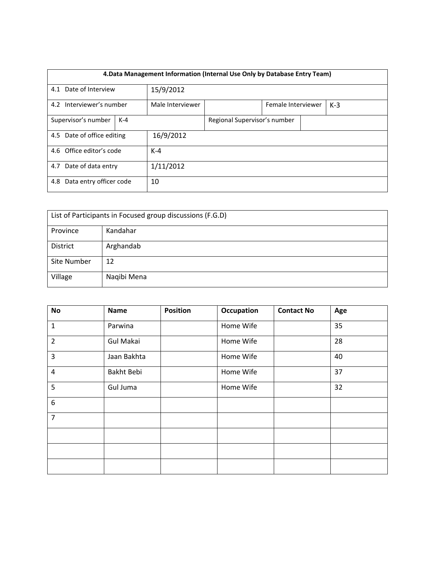| 4. Data Management Information (Internal Use Only by Database Entry Team) |  |                  |                              |  |       |  |  |
|---------------------------------------------------------------------------|--|------------------|------------------------------|--|-------|--|--|
| 4.1 Date of Interview                                                     |  | 15/9/2012        |                              |  |       |  |  |
| 4.2 Interviewer's number                                                  |  | Male Interviewer | Female Interviewer           |  | $K-3$ |  |  |
| Supervisor's number<br>$K-4$                                              |  |                  | Regional Supervisor's number |  |       |  |  |
| 4.5 Date of office editing                                                |  | 16/9/2012        |                              |  |       |  |  |
| 4.6 Office editor's code                                                  |  | $K-4$            |                              |  |       |  |  |
| 4.7 Date of data entry                                                    |  | 1/11/2012        |                              |  |       |  |  |
| Data entry officer code<br>4.8                                            |  | 10               |                              |  |       |  |  |

| List of Participants in Focused group discussions (F.G.D) |             |  |  |  |  |
|-----------------------------------------------------------|-------------|--|--|--|--|
| Province                                                  | Kandahar    |  |  |  |  |
| <b>District</b>                                           | Arghandab   |  |  |  |  |
| Site Number                                               | 12          |  |  |  |  |
| Village                                                   | Naqibi Mena |  |  |  |  |

| <b>No</b>        | <b>Name</b>      | <b>Position</b> | Occupation | <b>Contact No</b> | Age |
|------------------|------------------|-----------------|------------|-------------------|-----|
| $\mathbf{1}$     | Parwina          |                 | Home Wife  |                   | 35  |
| $\overline{2}$   | <b>Gul Makai</b> |                 | Home Wife  |                   | 28  |
| 3                | Jaan Bakhta      |                 | Home Wife  |                   | 40  |
| 4                | Bakht Bebi       |                 | Home Wife  |                   | 37  |
| 5                | Gul Juma         |                 | Home Wife  |                   | 32  |
| $\boldsymbol{6}$ |                  |                 |            |                   |     |
| $\overline{7}$   |                  |                 |            |                   |     |
|                  |                  |                 |            |                   |     |
|                  |                  |                 |            |                   |     |
|                  |                  |                 |            |                   |     |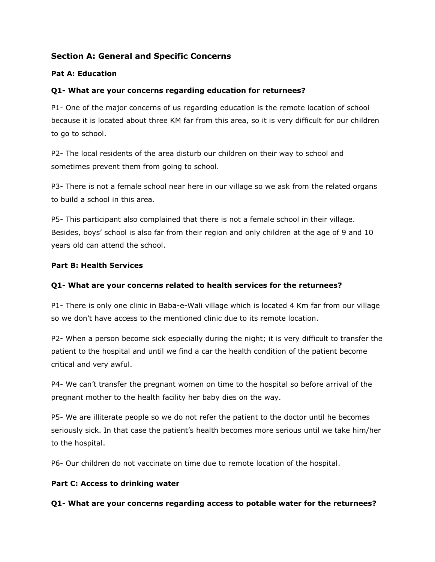# **Section A: General and Specific Concerns**

### **Pat A: Education**

## **Q1- What are your concerns regarding education for returnees?**

P1- One of the major concerns of us regarding education is the remote location of school because it is located about three KM far from this area, so it is very difficult for our children to go to school.

P2- The local residents of the area disturb our children on their way to school and sometimes prevent them from going to school.

P3- There is not a female school near here in our village so we ask from the related organs to build a school in this area.

P5- This participant also complained that there is not a female school in their village. Besides, boys' school is also far from their region and only children at the age of 9 and 10 years old can attend the school.

#### **Part B: Health Services**

## **Q1- What are your concerns related to health services for the returnees?**

P1- There is only one clinic in Baba-e-Wali village which is located 4 Km far from our village so we don't have access to the mentioned clinic due to its remote location.

P2- When a person become sick especially during the night; it is very difficult to transfer the patient to the hospital and until we find a car the health condition of the patient become critical and very awful.

P4- We can't transfer the pregnant women on time to the hospital so before arrival of the pregnant mother to the health facility her baby dies on the way.

P5- We are illiterate people so we do not refer the patient to the doctor until he becomes seriously sick. In that case the patient's health becomes more serious until we take him/her to the hospital.

P6- Our children do not vaccinate on time due to remote location of the hospital.

#### **Part C: Access to drinking water**

#### **Q1- What are your concerns regarding access to potable water for the returnees?**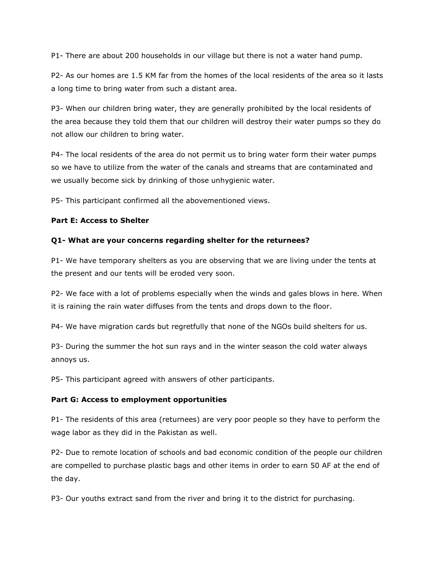P1- There are about 200 households in our village but there is not a water hand pump.

P2- As our homes are 1.5 KM far from the homes of the local residents of the area so it lasts a long time to bring water from such a distant area.

P3- When our children bring water, they are generally prohibited by the local residents of the area because they told them that our children will destroy their water pumps so they do not allow our children to bring water.

P4- The local residents of the area do not permit us to bring water form their water pumps so we have to utilize from the water of the canals and streams that are contaminated and we usually become sick by drinking of those unhygienic water.

P5- This participant confirmed all the abovementioned views.

#### **Part E: Access to Shelter**

#### **Q1- What are your concerns regarding shelter for the returnees?**

P1- We have temporary shelters as you are observing that we are living under the tents at the present and our tents will be eroded very soon.

P2- We face with a lot of problems especially when the winds and gales blows in here. When it is raining the rain water diffuses from the tents and drops down to the floor.

P4- We have migration cards but regretfully that none of the NGOs build shelters for us.

P3- During the summer the hot sun rays and in the winter season the cold water always annoys us.

P5- This participant agreed with answers of other participants.

#### **Part G: Access to employment opportunities**

P1- The residents of this area (returnees) are very poor people so they have to perform the wage labor as they did in the Pakistan as well.

P2- Due to remote location of schools and bad economic condition of the people our children are compelled to purchase plastic bags and other items in order to earn 50 AF at the end of the day.

P3- Our youths extract sand from the river and bring it to the district for purchasing.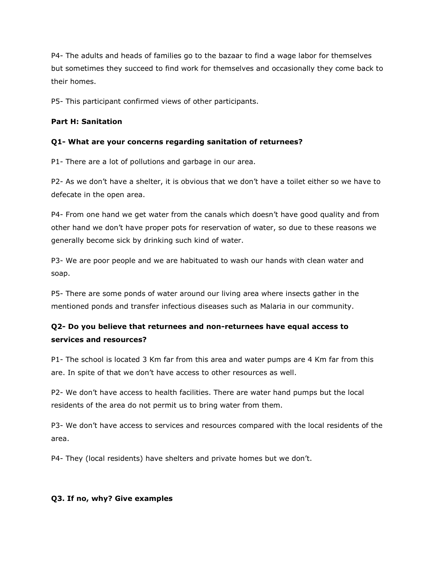P4- The adults and heads of families go to the bazaar to find a wage labor for themselves but sometimes they succeed to find work for themselves and occasionally they come back to their homes.

P5- This participant confirmed views of other participants.

#### **Part H: Sanitation**

#### **Q1- What are your concerns regarding sanitation of returnees?**

P1- There are a lot of pollutions and garbage in our area.

P2- As we don't have a shelter, it is obvious that we don't have a toilet either so we have to defecate in the open area.

P4- From one hand we get water from the canals which doesn't have good quality and from other hand we don't have proper pots for reservation of water, so due to these reasons we generally become sick by drinking such kind of water.

P3- We are poor people and we are habituated to wash our hands with clean water and soap.

P5- There are some ponds of water around our living area where insects gather in the mentioned ponds and transfer infectious diseases such as Malaria in our community.

# **Q2- Do you believe that returnees and non-returnees have equal access to services and resources?**

P1- The school is located 3 Km far from this area and water pumps are 4 Km far from this are. In spite of that we don't have access to other resources as well.

P2- We don't have access to health facilities. There are water hand pumps but the local residents of the area do not permit us to bring water from them.

P3- We don't have access to services and resources compared with the local residents of the area.

P4- They (local residents) have shelters and private homes but we don't.

#### **Q3. If no, why? Give examples**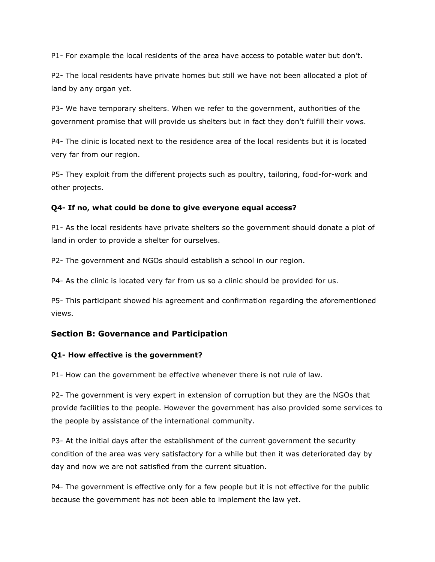P1- For example the local residents of the area have access to potable water but don't.

P2- The local residents have private homes but still we have not been allocated a plot of land by any organ yet.

P3- We have temporary shelters. When we refer to the government, authorities of the government promise that will provide us shelters but in fact they don't fulfill their vows.

P4- The clinic is located next to the residence area of the local residents but it is located very far from our region.

P5- They exploit from the different projects such as poultry, tailoring, food-for-work and other projects.

#### **Q4- If no, what could be done to give everyone equal access?**

P1- As the local residents have private shelters so the government should donate a plot of land in order to provide a shelter for ourselves.

P2- The government and NGOs should establish a school in our region.

P4- As the clinic is located very far from us so a clinic should be provided for us.

P5- This participant showed his agreement and confirmation regarding the aforementioned views.

# **Section B: Governance and Participation**

#### **Q1- How effective is the government?**

P1- How can the government be effective whenever there is not rule of law.

P2- The government is very expert in extension of corruption but they are the NGOs that provide facilities to the people. However the government has also provided some services to the people by assistance of the international community.

P3- At the initial days after the establishment of the current government the security condition of the area was very satisfactory for a while but then it was deteriorated day by day and now we are not satisfied from the current situation.

P4- The government is effective only for a few people but it is not effective for the public because the government has not been able to implement the law yet.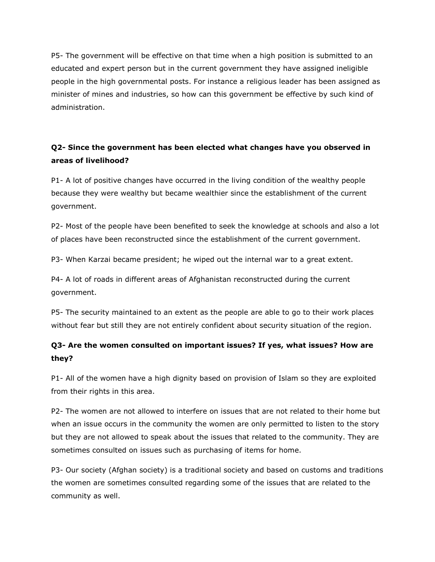P5- The government will be effective on that time when a high position is submitted to an educated and expert person but in the current government they have assigned ineligible people in the high governmental posts. For instance a religious leader has been assigned as minister of mines and industries, so how can this government be effective by such kind of administration.

# **Q2- Since the government has been elected what changes have you observed in areas of livelihood?**

P1- A lot of positive changes have occurred in the living condition of the wealthy people because they were wealthy but became wealthier since the establishment of the current government.

P2- Most of the people have been benefited to seek the knowledge at schools and also a lot of places have been reconstructed since the establishment of the current government.

P3- When Karzai became president; he wiped out the internal war to a great extent.

P4- A lot of roads in different areas of Afghanistan reconstructed during the current government.

P5- The security maintained to an extent as the people are able to go to their work places without fear but still they are not entirely confident about security situation of the region.

# **Q3- Are the women consulted on important issues? If yes, what issues? How are they?**

P1- All of the women have a high dignity based on provision of Islam so they are exploited from their rights in this area.

P2- The women are not allowed to interfere on issues that are not related to their home but when an issue occurs in the community the women are only permitted to listen to the story but they are not allowed to speak about the issues that related to the community. They are sometimes consulted on issues such as purchasing of items for home.

P3- Our society (Afghan society) is a traditional society and based on customs and traditions the women are sometimes consulted regarding some of the issues that are related to the community as well.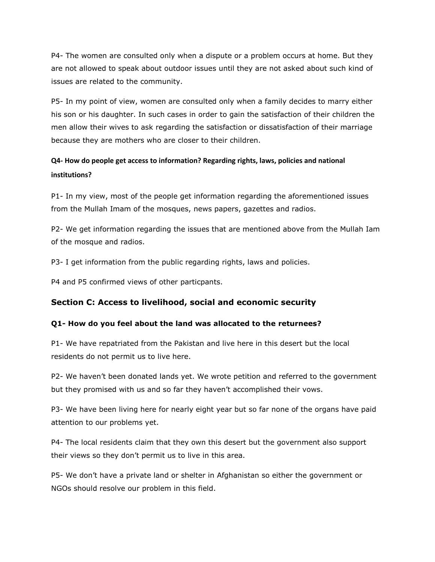P4- The women are consulted only when a dispute or a problem occurs at home. But they are not allowed to speak about outdoor issues until they are not asked about such kind of issues are related to the community.

P5- In my point of view, women are consulted only when a family decides to marry either his son or his daughter. In such cases in order to gain the satisfaction of their children the men allow their wives to ask regarding the satisfaction or dissatisfaction of their marriage because they are mothers who are closer to their children.

# **Q4- How do people get access to information? Regarding rights, laws, policies and national institutions?**

P1- In my view, most of the people get information regarding the aforementioned issues from the Mullah Imam of the mosques, news papers, gazettes and radios.

P2- We get information regarding the issues that are mentioned above from the Mullah Iam of the mosque and radios.

P3- I get information from the public regarding rights, laws and policies.

P4 and P5 confirmed views of other particpants.

# **Section C: Access to livelihood, social and economic security**

#### **Q1- How do you feel about the land was allocated to the returnees?**

P1- We have repatriated from the Pakistan and live here in this desert but the local residents do not permit us to live here.

P2- We haven't been donated lands yet. We wrote petition and referred to the government but they promised with us and so far they haven't accomplished their vows.

P3- We have been living here for nearly eight year but so far none of the organs have paid attention to our problems yet.

P4- The local residents claim that they own this desert but the government also support their views so they don't permit us to live in this area.

P5- We don't have a private land or shelter in Afghanistan so either the government or NGOs should resolve our problem in this field.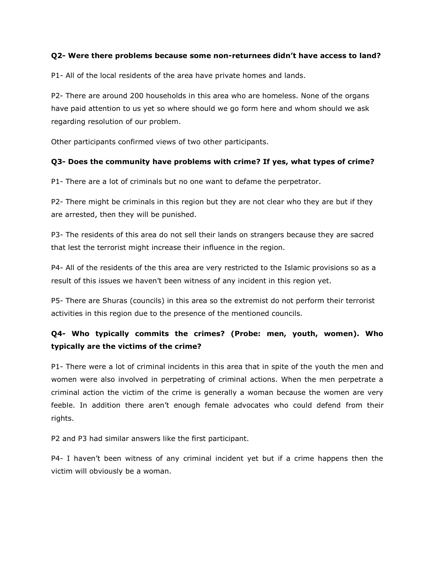#### **Q2- Were there problems because some non-returnees didn't have access to land?**

P1- All of the local residents of the area have private homes and lands.

P2- There are around 200 households in this area who are homeless. None of the organs have paid attention to us yet so where should we go form here and whom should we ask regarding resolution of our problem.

Other participants confirmed views of two other participants.

## **Q3- Does the community have problems with crime? If yes, what types of crime?**

P1- There are a lot of criminals but no one want to defame the perpetrator.

P2- There might be criminals in this region but they are not clear who they are but if they are arrested, then they will be punished.

P3- The residents of this area do not sell their lands on strangers because they are sacred that lest the terrorist might increase their influence in the region.

P4- All of the residents of the this area are very restricted to the Islamic provisions so as a result of this issues we haven't been witness of any incident in this region yet.

P5- There are Shuras (councils) in this area so the extremist do not perform their terrorist activities in this region due to the presence of the mentioned councils.

# **Q4- Who typically commits the crimes? (Probe: men, youth, women). Who typically are the victims of the crime?**

P1- There were a lot of criminal incidents in this area that in spite of the youth the men and women were also involved in perpetrating of criminal actions. When the men perpetrate a criminal action the victim of the crime is generally a woman because the women are very feeble. In addition there aren't enough female advocates who could defend from their rights.

P2 and P3 had similar answers like the first participant.

P4- I haven't been witness of any criminal incident yet but if a crime happens then the victim will obviously be a woman.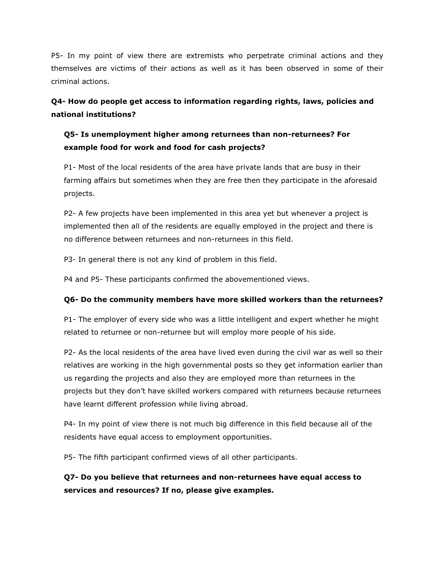P5- In my point of view there are extremists who perpetrate criminal actions and they themselves are victims of their actions as well as it has been observed in some of their criminal actions.

**Q4- How do people get access to information regarding rights, laws, policies and national institutions?** 

# **Q5- Is unemployment higher among returnees than non-returnees? For example food for work and food for cash projects?**

P1- Most of the local residents of the area have private lands that are busy in their farming affairs but sometimes when they are free then they participate in the aforesaid projects.

P2- A few projects have been implemented in this area yet but whenever a project is implemented then all of the residents are equally employed in the project and there is no difference between returnees and non-returnees in this field.

P3- In general there is not any kind of problem in this field.

P4 and P5- These participants confirmed the abovementioned views.

#### **Q6- Do the community members have more skilled workers than the returnees?**

P1- The employer of every side who was a little intelligent and expert whether he might related to returnee or non-returnee but will employ more people of his side.

P2- As the local residents of the area have lived even during the civil war as well so their relatives are working in the high governmental posts so they get information earlier than us regarding the projects and also they are employed more than returnees in the projects but they don't have skilled workers compared with returnees because returnees have learnt different profession while living abroad.

P4- In my point of view there is not much big difference in this field because all of the residents have equal access to employment opportunities.

P5- The fifth participant confirmed views of all other participants.

# **Q7- Do you believe that returnees and non-returnees have equal access to services and resources? If no, please give examples.**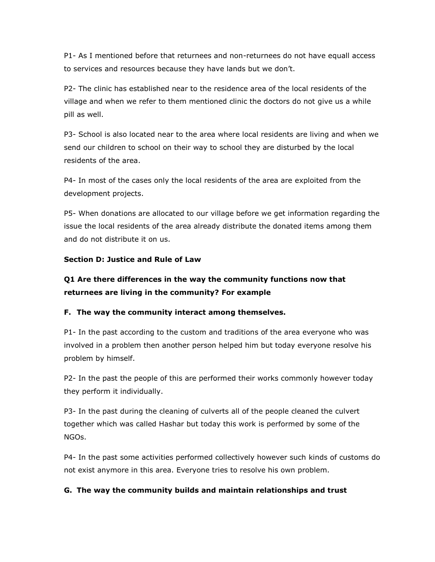P1- As I mentioned before that returnees and non-returnees do not have equall access to services and resources because they have lands but we don't.

P2- The clinic has established near to the residence area of the local residents of the village and when we refer to them mentioned clinic the doctors do not give us a while pill as well.

P3- School is also located near to the area where local residents are living and when we send our children to school on their way to school they are disturbed by the local residents of the area.

P4- In most of the cases only the local residents of the area are exploited from the development projects.

P5- When donations are allocated to our village before we get information regarding the issue the local residents of the area already distribute the donated items among them and do not distribute it on us.

#### **Section D: Justice and Rule of Law**

# **Q1 Are there differences in the way the community functions now that returnees are living in the community? For example**

#### **F. The way the community interact among themselves.**

P1- In the past according to the custom and traditions of the area everyone who was involved in a problem then another person helped him but today everyone resolve his problem by himself.

P2- In the past the people of this are performed their works commonly however today they perform it individually.

P3- In the past during the cleaning of culverts all of the people cleaned the culvert together which was called Hashar but today this work is performed by some of the NGOs.

P4- In the past some activities performed collectively however such kinds of customs do not exist anymore in this area. Everyone tries to resolve his own problem.

#### **G. The way the community builds and maintain relationships and trust**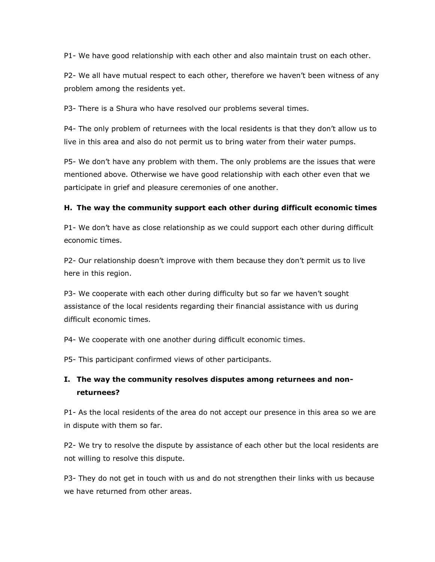P1- We have good relationship with each other and also maintain trust on each other.

P2- We all have mutual respect to each other, therefore we haven't been witness of any problem among the residents yet.

P3- There is a Shura who have resolved our problems several times.

P4- The only problem of returnees with the local residents is that they don't allow us to live in this area and also do not permit us to bring water from their water pumps.

P5- We don't have any problem with them. The only problems are the issues that were mentioned above. Otherwise we have good relationship with each other even that we participate in grief and pleasure ceremonies of one another.

#### **H. The way the community support each other during difficult economic times**

P1- We don't have as close relationship as we could support each other during difficult economic times.

P2- Our relationship doesn't improve with them because they don't permit us to live here in this region.

P3- We cooperate with each other during difficulty but so far we haven't sought assistance of the local residents regarding their financial assistance with us during difficult economic times.

P4- We cooperate with one another during difficult economic times.

P5- This participant confirmed views of other participants.

# **I. The way the community resolves disputes among returnees and nonreturnees?**

P1- As the local residents of the area do not accept our presence in this area so we are in dispute with them so far.

P2- We try to resolve the dispute by assistance of each other but the local residents are not willing to resolve this dispute.

P3- They do not get in touch with us and do not strengthen their links with us because we have returned from other areas.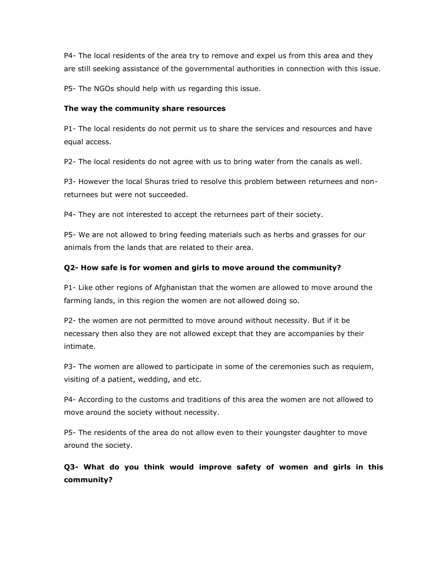P4- The local residents of the area try to remove and expel us from this area and they are still seeking assistance of the governmental authorities in connection with this issue.

P5- The NGOs should help with us regarding this issue.

#### **The way the community share resources**

P1- The local residents do not permit us to share the services and resources and have equal access.

P2- The local residents do not agree with us to bring water from the canals as well.

P3- However the local Shuras tried to resolve this problem between returnees and nonreturnees but were not succeeded.

P4- They are not interested to accept the returnees part of their society.

P5- We are not allowed to bring feeding materials such as herbs and grasses for our animals from the lands that are related to their area.

## **Q2- How safe is for women and girls to move around the community?**

P1- Like other regions of Afghanistan that the women are allowed to move around the farming lands, in this region the women are not allowed doing so.

P2- the women are not permitted to move around without necessity. But if it be necessary then also they are not allowed except that they are accompanies by their intimate.

P3- The women are allowed to participate in some of the ceremonies such as requiem, visiting of a patient, wedding, and etc.

P4- According to the customs and traditions of this area the women are not allowed to move around the society without necessity.

P5- The residents of the area do not allow even to their youngster daughter to move around the society.

**Q3- What do you think would improve safety of women and girls in this community?**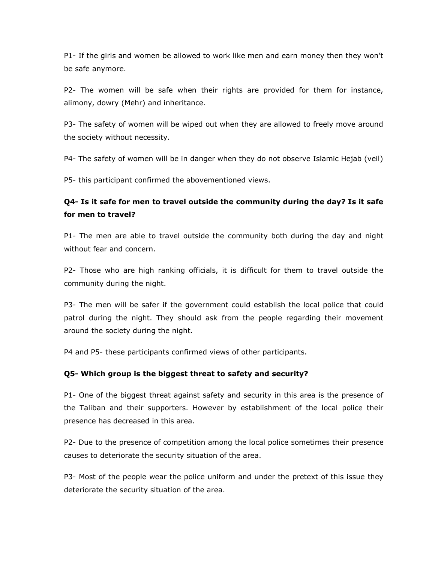P1- If the girls and women be allowed to work like men and earn money then they won't be safe anymore.

P2- The women will be safe when their rights are provided for them for instance, alimony, dowry (Mehr) and inheritance.

P3- The safety of women will be wiped out when they are allowed to freely move around the society without necessity.

P4- The safety of women will be in danger when they do not observe Islamic Hejab (veil)

P5- this participant confirmed the abovementioned views.

# **Q4- Is it safe for men to travel outside the community during the day? Is it safe for men to travel?**

P1- The men are able to travel outside the community both during the day and night without fear and concern.

P2- Those who are high ranking officials, it is difficult for them to travel outside the community during the night.

P3- The men will be safer if the government could establish the local police that could patrol during the night. They should ask from the people regarding their movement around the society during the night.

P4 and P5- these participants confirmed views of other participants.

#### **Q5- Which group is the biggest threat to safety and security?**

P1- One of the biggest threat against safety and security in this area is the presence of the Taliban and their supporters. However by establishment of the local police their presence has decreased in this area.

P2- Due to the presence of competition among the local police sometimes their presence causes to deteriorate the security situation of the area.

P3- Most of the people wear the police uniform and under the pretext of this issue they deteriorate the security situation of the area.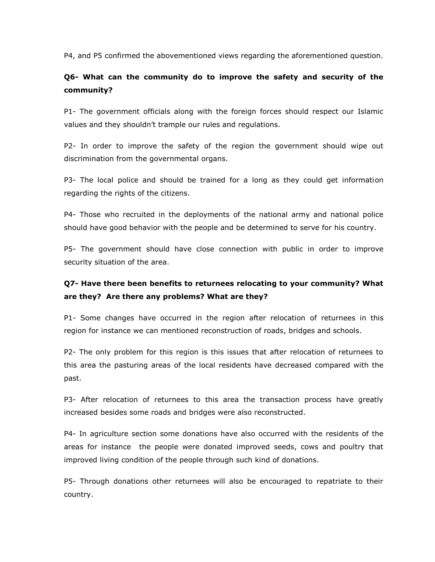P4, and P5 confirmed the abovementioned views regarding the aforementioned question.

# **Q6- What can the community do to improve the safety and security of the community?**

P1- The government officials along with the foreign forces should respect our Islamic values and they shouldn't trample our rules and regulations.

P2- In order to improve the safety of the region the government should wipe out discrimination from the governmental organs.

P3- The local police and should be trained for a long as they could get information regarding the rights of the citizens.

P4- Those who recruited in the deployments of the national army and national police should have good behavior with the people and be determined to serve for his country.

P5- The government should have close connection with public in order to improve security situation of the area.

# **Q7- Have there been benefits to returnees relocating to your community? What are they? Are there any problems? What are they?**

P1- Some changes have occurred in the region after relocation of returnees in this region for instance we can mentioned reconstruction of roads, bridges and schools.

P2- The only problem for this region is this issues that after relocation of returnees to this area the pasturing areas of the local residents have decreased compared with the past.

P3- After relocation of returnees to this area the transaction process have greatly increased besides some roads and bridges were also reconstructed.

P4- In agriculture section some donations have also occurred with the residents of the areas for instance the people were donated improved seeds, cows and poultry that improved living condition of the people through such kind of donations.

P5- Through donations other returnees will also be encouraged to repatriate to their country.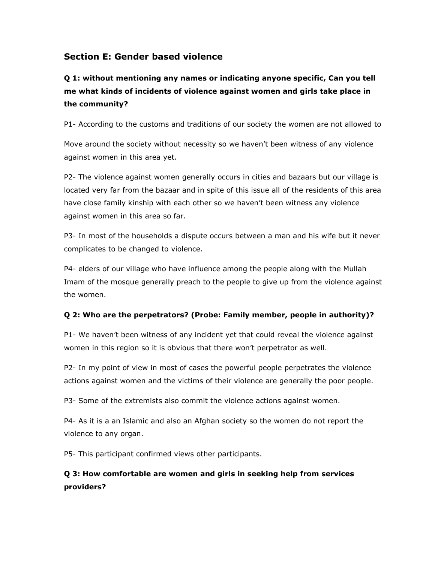# **Section E: Gender based violence**

**Q 1: without mentioning any names or indicating anyone specific, Can you tell me what kinds of incidents of violence against women and girls take place in the community?**

P1- According to the customs and traditions of our society the women are not allowed to

Move around the society without necessity so we haven't been witness of any violence against women in this area yet.

P2- The violence against women generally occurs in cities and bazaars but our village is located very far from the bazaar and in spite of this issue all of the residents of this area have close family kinship with each other so we haven't been witness any violence against women in this area so far.

P3- In most of the households a dispute occurs between a man and his wife but it never complicates to be changed to violence.

P4- elders of our village who have influence among the people along with the Mullah Imam of the mosque generally preach to the people to give up from the violence against the women.

#### **Q 2: Who are the perpetrators? (Probe: Family member, people in authority)?**

P1- We haven't been witness of any incident yet that could reveal the violence against women in this region so it is obvious that there won't perpetrator as well.

P2- In my point of view in most of cases the powerful people perpetrates the violence actions against women and the victims of their violence are generally the poor people.

P3- Some of the extremists also commit the violence actions against women.

P4- As it is a an Islamic and also an Afghan society so the women do not report the violence to any organ.

P5- This participant confirmed views other participants.

# **Q 3: How comfortable are women and girls in seeking help from services providers?**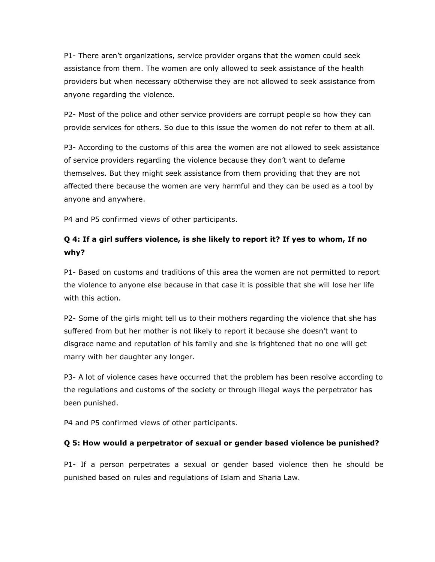P1- There aren't organizations, service provider organs that the women could seek assistance from them. The women are only allowed to seek assistance of the health providers but when necessary o0therwise they are not allowed to seek assistance from anyone regarding the violence.

P2- Most of the police and other service providers are corrupt people so how they can provide services for others. So due to this issue the women do not refer to them at all.

P3- According to the customs of this area the women are not allowed to seek assistance of service providers regarding the violence because they don't want to defame themselves. But they might seek assistance from them providing that they are not affected there because the women are very harmful and they can be used as a tool by anyone and anywhere.

P4 and P5 confirmed views of other participants.

# **Q 4: If a girl suffers violence, is she likely to report it? If yes to whom, If no why?**

P1- Based on customs and traditions of this area the women are not permitted to report the violence to anyone else because in that case it is possible that she will lose her life with this action.

P2- Some of the girls might tell us to their mothers regarding the violence that she has suffered from but her mother is not likely to report it because she doesn't want to disgrace name and reputation of his family and she is frightened that no one will get marry with her daughter any longer.

P3- A lot of violence cases have occurred that the problem has been resolve according to the regulations and customs of the society or through illegal ways the perpetrator has been punished.

P4 and P5 confirmed views of other participants.

# **Q 5: How would a perpetrator of sexual or gender based violence be punished?**

P1- If a person perpetrates a sexual or gender based violence then he should be punished based on rules and regulations of Islam and Sharia Law.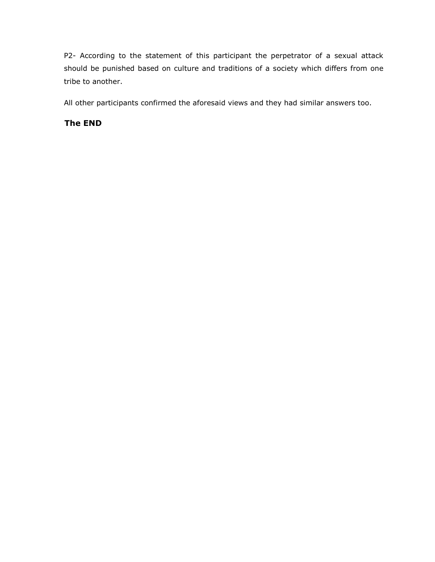P2- According to the statement of this participant the perpetrator of a sexual attack should be punished based on culture and traditions of a society which differs from one tribe to another.

All other participants confirmed the aforesaid views and they had similar answers too.

# **The END**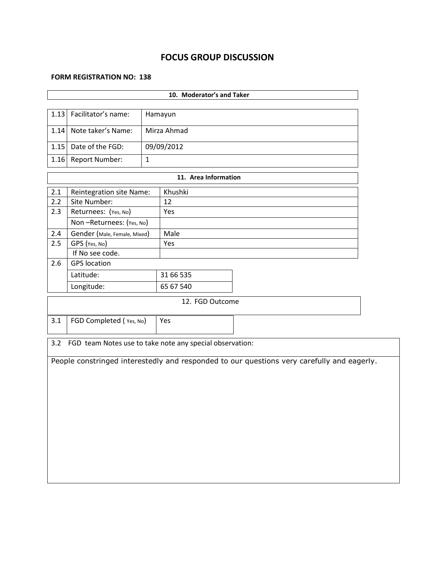# **FOCUS GROUP DISCUSSION**

#### **FORM REGISTRATION NO: 138**

| 10. Moderator's and Taker |                                |              |                                                          |                                                                                            |  |  |  |  |  |  |
|---------------------------|--------------------------------|--------------|----------------------------------------------------------|--------------------------------------------------------------------------------------------|--|--|--|--|--|--|
| 1.13                      |                                |              |                                                          |                                                                                            |  |  |  |  |  |  |
|                           | Facilitator's name:<br>Hamayun |              |                                                          |                                                                                            |  |  |  |  |  |  |
| 1.14                      | Note taker's Name:             |              | Mirza Ahmad                                              |                                                                                            |  |  |  |  |  |  |
|                           | 1.15 Date of the FGD:          |              | 09/09/2012                                               |                                                                                            |  |  |  |  |  |  |
| 1.16                      | Report Number:                 | $\mathbf{1}$ |                                                          |                                                                                            |  |  |  |  |  |  |
|                           |                                |              | 11. Area Information                                     |                                                                                            |  |  |  |  |  |  |
| 2.1                       | Reintegration site Name:       |              | Khushki                                                  |                                                                                            |  |  |  |  |  |  |
| 2.2                       | Site Number:                   |              | 12                                                       |                                                                                            |  |  |  |  |  |  |
| 2.3                       | Returnees: (Yes, No)           |              | Yes                                                      |                                                                                            |  |  |  |  |  |  |
|                           | Non-Returnees: (Yes, No)       |              |                                                          |                                                                                            |  |  |  |  |  |  |
| 2.4                       | Gender (Male, Female, Mixed)   |              | Male                                                     |                                                                                            |  |  |  |  |  |  |
| 2.5                       | GPS (Yes, No)                  |              | Yes                                                      |                                                                                            |  |  |  |  |  |  |
|                           | If No see code.                |              |                                                          |                                                                                            |  |  |  |  |  |  |
| 2.6                       | <b>GPS</b> location            |              |                                                          |                                                                                            |  |  |  |  |  |  |
|                           | Latitude:                      |              | 31 66 535                                                |                                                                                            |  |  |  |  |  |  |
|                           | Longitude:<br>65 67 540        |              |                                                          |                                                                                            |  |  |  |  |  |  |
|                           |                                |              | 12. FGD Outcome                                          |                                                                                            |  |  |  |  |  |  |
| 3.1                       | FGD Completed (Yes, No)<br>Yes |              |                                                          |                                                                                            |  |  |  |  |  |  |
|                           |                                |              |                                                          |                                                                                            |  |  |  |  |  |  |
| 3.2                       |                                |              | FGD team Notes use to take note any special observation: |                                                                                            |  |  |  |  |  |  |
|                           |                                |              |                                                          | People constringed interestedly and responded to our questions very carefully and eagerly. |  |  |  |  |  |  |
|                           |                                |              |                                                          |                                                                                            |  |  |  |  |  |  |
|                           |                                |              |                                                          |                                                                                            |  |  |  |  |  |  |
|                           |                                |              |                                                          |                                                                                            |  |  |  |  |  |  |
|                           |                                |              |                                                          |                                                                                            |  |  |  |  |  |  |
|                           |                                |              |                                                          |                                                                                            |  |  |  |  |  |  |
|                           |                                |              |                                                          |                                                                                            |  |  |  |  |  |  |
|                           |                                |              |                                                          |                                                                                            |  |  |  |  |  |  |
|                           |                                |              |                                                          |                                                                                            |  |  |  |  |  |  |
|                           |                                |              |                                                          |                                                                                            |  |  |  |  |  |  |
|                           |                                |              |                                                          |                                                                                            |  |  |  |  |  |  |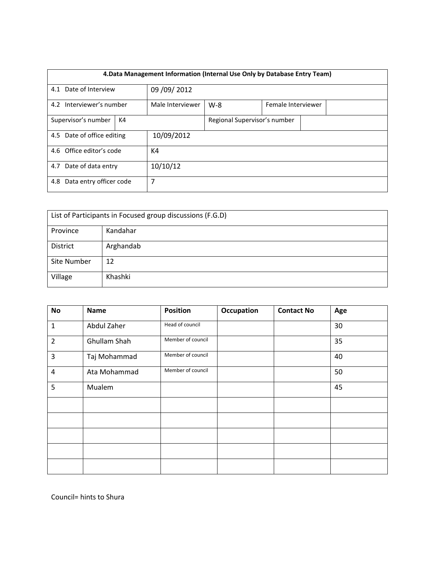| 4. Data Management Information (Internal Use Only by Database Entry Team) |  |                  |                              |  |                    |  |  |  |
|---------------------------------------------------------------------------|--|------------------|------------------------------|--|--------------------|--|--|--|
| 4.1 Date of Interview                                                     |  | 09 / 09 / 2012   |                              |  |                    |  |  |  |
| 4.2 Interviewer's number                                                  |  | Male Interviewer | $W-8$                        |  | Female Interviewer |  |  |  |
| Supervisor's number<br>K4                                                 |  |                  | Regional Supervisor's number |  |                    |  |  |  |
| 4.5 Date of office editing                                                |  | 10/09/2012       |                              |  |                    |  |  |  |
| 4.6 Office editor's code                                                  |  | K4               |                              |  |                    |  |  |  |
| 4.7 Date of data entry                                                    |  | 10/10/12         |                              |  |                    |  |  |  |
| Data entry officer code<br>4.8                                            |  | 7                |                              |  |                    |  |  |  |

| List of Participants in Focused group discussions (F.G.D) |           |  |  |  |  |
|-----------------------------------------------------------|-----------|--|--|--|--|
| Province                                                  | Kandahar  |  |  |  |  |
| District                                                  | Arghandab |  |  |  |  |
| Site Number                                               | 12        |  |  |  |  |
| Village                                                   | Khashki   |  |  |  |  |

| <b>No</b>      | <b>Name</b>  | <b>Position</b>   | Occupation | <b>Contact No</b> | Age |
|----------------|--------------|-------------------|------------|-------------------|-----|
| $\mathbf{1}$   | Abdul Zaher  | Head of council   |            |                   | 30  |
| $\overline{2}$ | Ghullam Shah | Member of council |            |                   | 35  |
| 3              | Taj Mohammad | Member of council |            |                   | 40  |
| $\sqrt{4}$     | Ata Mohammad | Member of council |            |                   | 50  |
| 5              | Mualem       |                   |            |                   | 45  |
|                |              |                   |            |                   |     |
|                |              |                   |            |                   |     |
|                |              |                   |            |                   |     |
|                |              |                   |            |                   |     |
|                |              |                   |            |                   |     |

Council= hints to Shura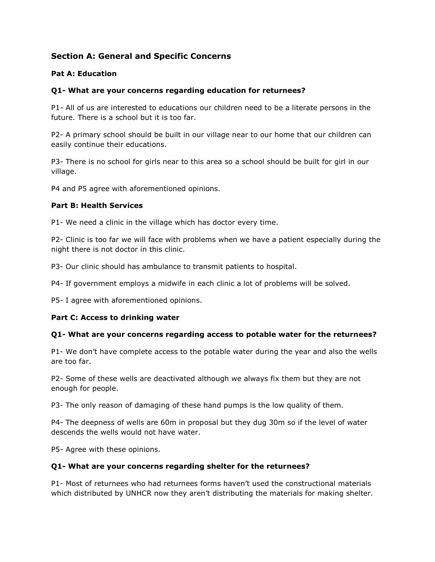# **Section A: General and Specific Concerns**

#### **Pat A: Education**

## **Q1- What are your concerns regarding education for returnees?**

P1- All of us are interested to educations our children need to be a literate persons in the future. There is a school but it is too far.

P2- A primary school should be built in our village near to our home that our children can easily continue their educations.

P3- There is no school for girls near to this area so a school should be built for girl in our village.

P4 and P5 agree with aforementioned opinions.

#### **Part B: Health Services**

P1- We need a clinic in the village which has doctor every time.

P2- Clinic is too far we will face with problems when we have a patient especially during the night there is not doctor in this clinic.

P3- Our clinic should has ambulance to transmit patients to hospital.

P4- If government employs a midwife in each clinic a lot of problems will be solved.

P5- I agree with aforementioned opinions.

#### **Part C: Access to drinking water**

#### **Q1- What are your concerns regarding access to potable water for the returnees?**

P1- We don't have complete access to the potable water during the year and also the wells are too far.

P2- Some of these wells are deactivated although we always fix them but they are not enough for people.

P3- The only reason of damaging of these hand pumps is the low quality of them.

P4- The deepness of wells are 60m in proposal but they dug 30m so if the level of water descends the wells would not have water.

P5- Agree with these opinions.

#### **Q1- What are your concerns regarding shelter for the returnees?**

P1- Most of returnees who had returnees forms haven't used the constructional materials which distributed by UNHCR now they aren't distributing the materials for making shelter.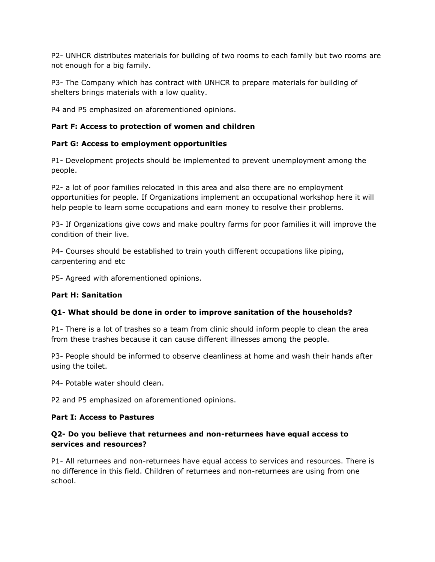P2- UNHCR distributes materials for building of two rooms to each family but two rooms are not enough for a big family.

P3- The Company which has contract with UNHCR to prepare materials for building of shelters brings materials with a low quality.

P4 and P5 emphasized on aforementioned opinions.

### **Part F: Access to protection of women and children**

#### **Part G: Access to employment opportunities**

P1- Development projects should be implemented to prevent unemployment among the people.

P2- a lot of poor families relocated in this area and also there are no employment opportunities for people. If Organizations implement an occupational workshop here it will help people to learn some occupations and earn money to resolve their problems.

P3- If Organizations give cows and make poultry farms for poor families it will improve the condition of their live.

P4- Courses should be established to train youth different occupations like piping, carpentering and etc

P5- Agreed with aforementioned opinions.

#### **Part H: Sanitation**

#### **Q1- What should be done in order to improve sanitation of the households?**

P1- There is a lot of trashes so a team from clinic should inform people to clean the area from these trashes because it can cause different illnesses among the people.

P3- People should be informed to observe cleanliness at home and wash their hands after using the toilet.

P4- Potable water should clean.

P2 and P5 emphasized on aforementioned opinions.

#### **Part I: Access to Pastures**

#### **Q2- Do you believe that returnees and non-returnees have equal access to services and resources?**

P1- All returnees and non-returnees have equal access to services and resources. There is no difference in this field. Children of returnees and non-returnees are using from one school.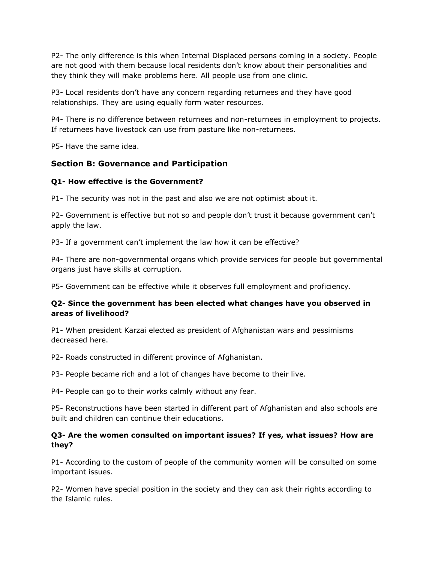P2- The only difference is this when Internal Displaced persons coming in a society. People are not good with them because local residents don't know about their personalities and they think they will make problems here. All people use from one clinic.

P3- Local residents don't have any concern regarding returnees and they have good relationships. They are using equally form water resources.

P4- There is no difference between returnees and non-returnees in employment to projects. If returnees have livestock can use from pasture like non-returnees.

P5- Have the same idea.

## **Section B: Governance and Participation**

#### **Q1- How effective is the Government?**

P1- The security was not in the past and also we are not optimist about it.

P2- Government is effective but not so and people don't trust it because government can't apply the law.

P3- If a government can't implement the law how it can be effective?

P4- There are non-governmental organs which provide services for people but governmental organs just have skills at corruption.

P5- Government can be effective while it observes full employment and proficiency.

#### **Q2- Since the government has been elected what changes have you observed in areas of livelihood?**

P1- When president Karzai elected as president of Afghanistan wars and pessimisms decreased here.

P2- Roads constructed in different province of Afghanistan.

P3- People became rich and a lot of changes have become to their live.

P4- People can go to their works calmly without any fear.

P5- Reconstructions have been started in different part of Afghanistan and also schools are built and children can continue their educations.

#### **Q3- Are the women consulted on important issues? If yes, what issues? How are they?**

P1- According to the custom of people of the community women will be consulted on some important issues.

P2- Women have special position in the society and they can ask their rights according to the Islamic rules.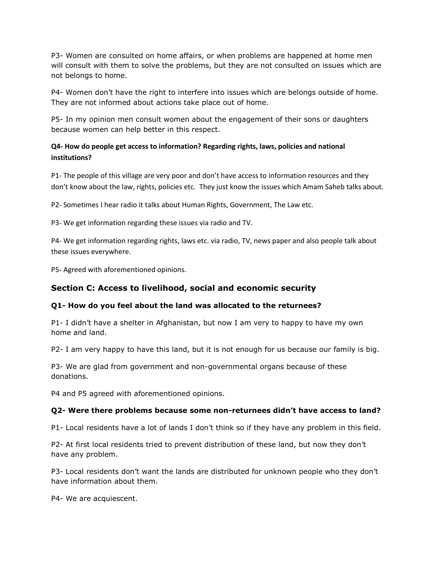P3- Women are consulted on home affairs, or when problems are happened at home men will consult with them to solve the problems, but they are not consulted on issues which are not belongs to home.

P4- Women don't have the right to interfere into issues which are belongs outside of home. They are not informed about actions take place out of home.

P5- In my opinion men consult women about the engagement of their sons or daughters because women can help better in this respect.

# **Q4- How do people get access to information? Regarding rights, laws, policies and national institutions?**

P1- The people of this village are very poor and don't have access to information resources and they don't know about the law, rights, policies etc. They just know the issues which Amam Saheb talks about.

P2- Sometimes I hear radio it talks about Human Rights, Government, The Law etc.

P3- We get information regarding these issues via radio and TV.

P4- We get information regarding rights, laws etc. via radio, TV, news paper and also people talk about these issues everywhere.

P5- Agreed with aforementioned opinions.

# **Section C: Access to livelihood, social and economic security**

#### **Q1- How do you feel about the land was allocated to the returnees?**

P1- I didn't have a shelter in Afghanistan, but now I am very to happy to have my own home and land.

P2- I am very happy to have this land, but it is not enough for us because our family is big.

P3- We are glad from government and non-governmental organs because of these donations.

P4 and P5 agreed with aforementioned opinions.

#### **Q2- Were there problems because some non-returnees didn't have access to land?**

P1- Local residents have a lot of lands I don't think so if they have any problem in this field.

P2- At first local residents tried to prevent distribution of these land, but now they don't have any problem.

P3- Local residents don't want the lands are distributed for unknown people who they don't have information about them.

P4- We are acquiescent.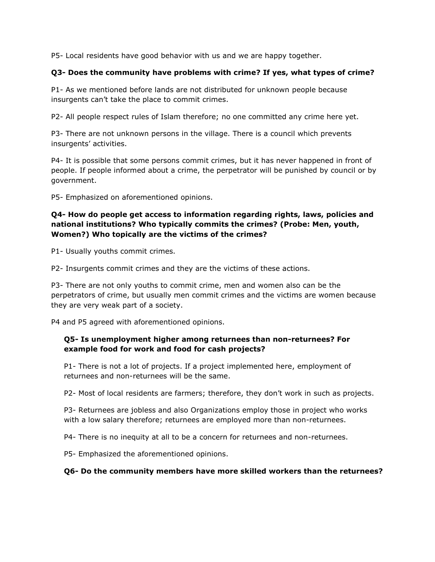P5- Local residents have good behavior with us and we are happy together.

### **Q3- Does the community have problems with crime? If yes, what types of crime?**

P1- As we mentioned before lands are not distributed for unknown people because insurgents can't take the place to commit crimes.

P2- All people respect rules of Islam therefore; no one committed any crime here yet.

P3- There are not unknown persons in the village. There is a council which prevents insurgents' activities.

P4- It is possible that some persons commit crimes, but it has never happened in front of people. If people informed about a crime, the perpetrator will be punished by council or by government.

P5- Emphasized on aforementioned opinions.

## **Q4- How do people get access to information regarding rights, laws, policies and national institutions? Who typically commits the crimes? (Probe: Men, youth, Women?) Who topically are the victims of the crimes?**

P1- Usually youths commit crimes.

P2- Insurgents commit crimes and they are the victims of these actions.

P3- There are not only youths to commit crime, men and women also can be the perpetrators of crime, but usually men commit crimes and the victims are women because they are very weak part of a society.

P4 and P5 agreed with aforementioned opinions.

#### **Q5- Is unemployment higher among returnees than non-returnees? For example food for work and food for cash projects?**

P1- There is not a lot of projects. If a project implemented here, employment of returnees and non-returnees will be the same.

P2- Most of local residents are farmers; therefore, they don't work in such as projects.

P3- Returnees are jobless and also Organizations employ those in project who works with a low salary therefore; returnees are employed more than non-returnees.

P4- There is no inequity at all to be a concern for returnees and non-returnees.

P5- Emphasized the aforementioned opinions.

#### **Q6- Do the community members have more skilled workers than the returnees?**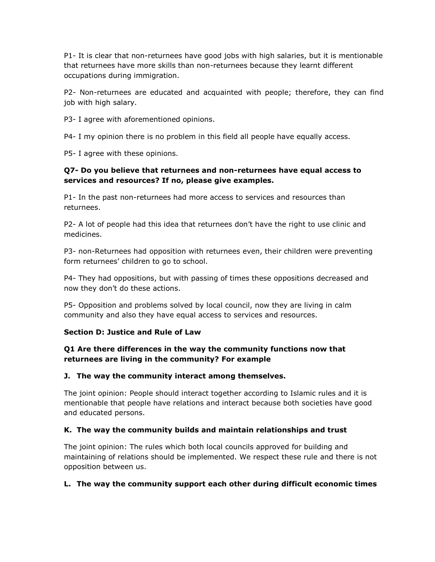P1- It is clear that non-returnees have good jobs with high salaries, but it is mentionable that returnees have more skills than non-returnees because they learnt different occupations during immigration.

P2- Non-returnees are educated and acquainted with people; therefore, they can find job with high salary.

P3- I agree with aforementioned opinions.

P4- I my opinion there is no problem in this field all people have equally access.

P5- I agree with these opinions.

## **Q7- Do you believe that returnees and non-returnees have equal access to services and resources? If no, please give examples.**

P1- In the past non-returnees had more access to services and resources than returnees.

P2- A lot of people had this idea that returnees don't have the right to use clinic and medicines.

P3- non-Returnees had opposition with returnees even, their children were preventing form returnees' children to go to school.

P4- They had oppositions, but with passing of times these oppositions decreased and now they don't do these actions.

P5- Opposition and problems solved by local council, now they are living in calm community and also they have equal access to services and resources.

# **Section D: Justice and Rule of Law**

## **Q1 Are there differences in the way the community functions now that returnees are living in the community? For example**

#### **J. The way the community interact among themselves.**

The joint opinion: People should interact together according to Islamic rules and it is mentionable that people have relations and interact because both societies have good and educated persons.

# **K. The way the community builds and maintain relationships and trust**

The joint opinion: The rules which both local councils approved for building and maintaining of relations should be implemented. We respect these rule and there is not opposition between us.

# **L. The way the community support each other during difficult economic times**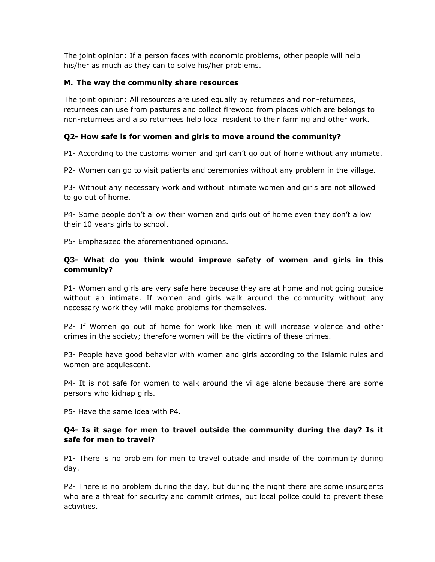The joint opinion: If a person faces with economic problems, other people will help his/her as much as they can to solve his/her problems.

#### **M. The way the community share resources**

The joint opinion: All resources are used equally by returnees and non-returnees, returnees can use from pastures and collect firewood from places which are belongs to non-returnees and also returnees help local resident to their farming and other work.

#### **Q2- How safe is for women and girls to move around the community?**

P1- According to the customs women and girl can't go out of home without any intimate.

P2- Women can go to visit patients and ceremonies without any problem in the village.

P3- Without any necessary work and without intimate women and girls are not allowed to go out of home.

P4- Some people don't allow their women and girls out of home even they don't allow their 10 years girls to school.

P5- Emphasized the aforementioned opinions.

## **Q3- What do you think would improve safety of women and girls in this community?**

P1- Women and girls are very safe here because they are at home and not going outside without an intimate. If women and girls walk around the community without any necessary work they will make problems for themselves.

P2- If Women go out of home for work like men it will increase violence and other crimes in the society; therefore women will be the victims of these crimes.

P3- People have good behavior with women and girls according to the Islamic rules and women are acquiescent.

P4- It is not safe for women to walk around the village alone because there are some persons who kidnap girls.

P5- Have the same idea with P4.

#### **Q4- Is it sage for men to travel outside the community during the day? Is it safe for men to travel?**

P1- There is no problem for men to travel outside and inside of the community during day.

P2- There is no problem during the day, but during the night there are some insurgents who are a threat for security and commit crimes, but local police could to prevent these activities.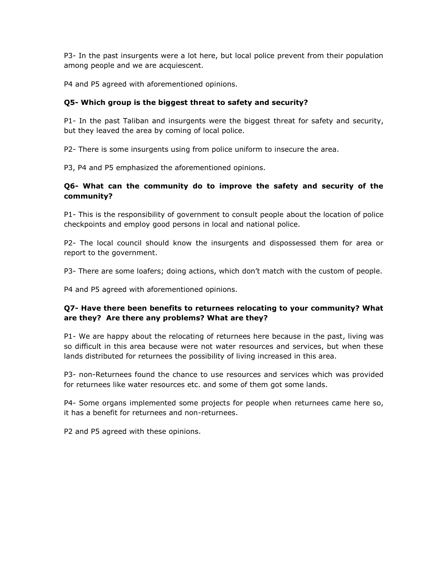P3- In the past insurgents were a lot here, but local police prevent from their population among people and we are acquiescent.

P4 and P5 agreed with aforementioned opinions.

# **Q5- Which group is the biggest threat to safety and security?**

P1- In the past Taliban and insurgents were the biggest threat for safety and security, but they leaved the area by coming of local police.

P2- There is some insurgents using from police uniform to insecure the area.

P3, P4 and P5 emphasized the aforementioned opinions.

### **Q6- What can the community do to improve the safety and security of the community?**

P1- This is the responsibility of government to consult people about the location of police checkpoints and employ good persons in local and national police.

P2- The local council should know the insurgents and dispossessed them for area or report to the government.

P3- There are some loafers; doing actions, which don't match with the custom of people.

P4 and P5 agreed with aforementioned opinions.

## **Q7- Have there been benefits to returnees relocating to your community? What are they? Are there any problems? What are they?**

P1- We are happy about the relocating of returnees here because in the past, living was so difficult in this area because were not water resources and services, but when these lands distributed for returnees the possibility of living increased in this area.

P3- non-Returnees found the chance to use resources and services which was provided for returnees like water resources etc. and some of them got some lands.

P4- Some organs implemented some projects for people when returnees came here so, it has a benefit for returnees and non-returnees.

P2 and P5 agreed with these opinions.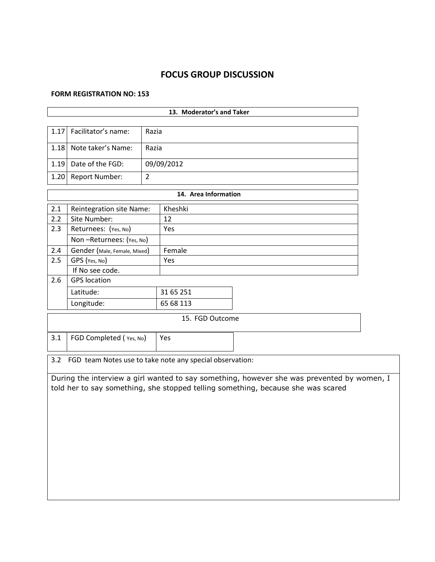# **FOCUS GROUP DISCUSSION**

ă.

#### **FORM REGISTRATION NO: 153**

|      |                                                              |                | 13. Moderator's and Taker |                                                                                                                                                                                |  |  |  |
|------|--------------------------------------------------------------|----------------|---------------------------|--------------------------------------------------------------------------------------------------------------------------------------------------------------------------------|--|--|--|
| 1.17 | Facilitator's name:                                          | Razia          |                           |                                                                                                                                                                                |  |  |  |
| 1.18 | Note taker's Name:<br>Razia                                  |                |                           |                                                                                                                                                                                |  |  |  |
| 1.19 | Date of the FGD:                                             |                | 09/09/2012                |                                                                                                                                                                                |  |  |  |
| 1.20 | <b>Report Number:</b>                                        | $\overline{2}$ |                           |                                                                                                                                                                                |  |  |  |
|      |                                                              |                | 14. Area Information      |                                                                                                                                                                                |  |  |  |
| 2.1  | Reintegration site Name:                                     |                | Kheshki                   |                                                                                                                                                                                |  |  |  |
| 2.2  | Site Number:                                                 |                | 12                        |                                                                                                                                                                                |  |  |  |
| 2.3  | Returnees: (Yes, No)                                         |                | Yes                       |                                                                                                                                                                                |  |  |  |
|      | Non-Returnees: (Yes, No)                                     |                |                           |                                                                                                                                                                                |  |  |  |
| 2.4  | Gender (Male, Female, Mixed)                                 |                | Female                    |                                                                                                                                                                                |  |  |  |
| 2.5  | GPS (Yes, No)                                                |                | Yes                       |                                                                                                                                                                                |  |  |  |
|      | If No see code.                                              |                |                           |                                                                                                                                                                                |  |  |  |
| 2.6  | <b>GPS</b> location                                          |                |                           |                                                                                                                                                                                |  |  |  |
|      | Latitude:                                                    |                | 31 65 251                 |                                                                                                                                                                                |  |  |  |
|      | Longitude:                                                   |                | 65 68 113                 |                                                                                                                                                                                |  |  |  |
|      |                                                              |                | 15. FGD Outcome           |                                                                                                                                                                                |  |  |  |
| 3.1  | FGD Completed (Yes, No)                                      |                | Yes                       |                                                                                                                                                                                |  |  |  |
|      | 3.2 FGD team Notes use to take note any special observation: |                |                           |                                                                                                                                                                                |  |  |  |
|      |                                                              |                |                           | During the interview a girl wanted to say something, however she was prevented by women, I<br>told her to say something, she stopped telling something, because she was scared |  |  |  |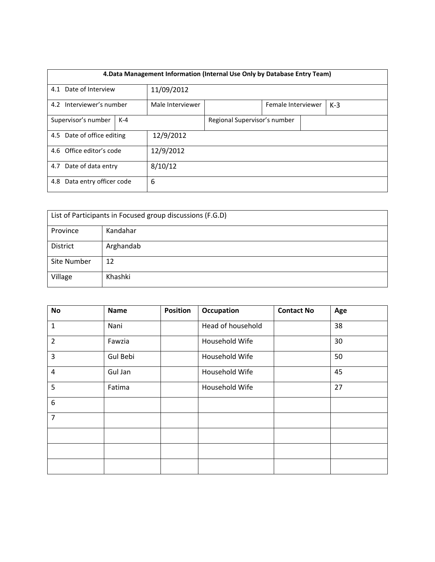| 4. Data Management Information (Internal Use Only by Database Entry Team) |  |                  |                              |  |  |  |  |  |
|---------------------------------------------------------------------------|--|------------------|------------------------------|--|--|--|--|--|
| 4.1 Date of Interview                                                     |  | 11/09/2012       |                              |  |  |  |  |  |
| 4.2 Interviewer's number                                                  |  | Male Interviewer | Female Interviewer<br>$K-3$  |  |  |  |  |  |
| Supervisor's number<br>$K-4$                                              |  |                  | Regional Supervisor's number |  |  |  |  |  |
| 4.5 Date of office editing                                                |  | 12/9/2012        |                              |  |  |  |  |  |
| 4.6 Office editor's code                                                  |  | 12/9/2012        |                              |  |  |  |  |  |
| 4.7 Date of data entry                                                    |  | 8/10/12          |                              |  |  |  |  |  |
| 4.8 Data entry officer code                                               |  | 6                |                              |  |  |  |  |  |

| List of Participants in Focused group discussions (F.G.D) |           |  |  |  |  |
|-----------------------------------------------------------|-----------|--|--|--|--|
| Province                                                  | Kandahar  |  |  |  |  |
| District                                                  | Arghandab |  |  |  |  |
| Site Number                                               | 12        |  |  |  |  |
| Village                                                   | Khashki   |  |  |  |  |

| <b>No</b>      | <b>Name</b> | <b>Position</b> | Occupation        | <b>Contact No</b> | Age |
|----------------|-------------|-----------------|-------------------|-------------------|-----|
| $\mathbf{1}$   | Nani        |                 | Head of household |                   | 38  |
| $\overline{2}$ | Fawzia      |                 | Household Wife    |                   | 30  |
| 3              | Gul Bebi    |                 | Household Wife    |                   | 50  |
| $\overline{4}$ | Gul Jan     |                 | Household Wife    |                   | 45  |
| 5              | Fatima      |                 | Household Wife    |                   | 27  |
| 6              |             |                 |                   |                   |     |
| $\overline{7}$ |             |                 |                   |                   |     |
|                |             |                 |                   |                   |     |
|                |             |                 |                   |                   |     |
|                |             |                 |                   |                   |     |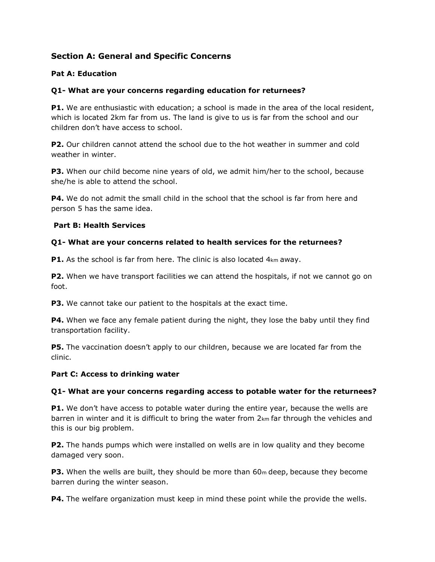# **Section A: General and Specific Concerns**

#### **Pat A: Education**

## **Q1- What are your concerns regarding education for returnees?**

**P1.** We are enthusiastic with education; a school is made in the area of the local resident, which is located 2km far from us. The land is give to us is far from the school and our children don't have access to school.

**P2.** Our children cannot attend the school due to the hot weather in summer and cold weather in winter.

**P3.** When our child become nine years of old, we admit him/her to the school, because she/he is able to attend the school.

**P4.** We do not admit the small child in the school that the school is far from here and person 5 has the same idea.

#### **Part B: Health Services**

#### **Q1- What are your concerns related to health services for the returnees?**

**P1.** As the school is far from here. The clinic is also located 4<sub>km</sub> away.

**P2.** When we have transport facilities we can attend the hospitals, if not we cannot go on foot.

**P3.** We cannot take our patient to the hospitals at the exact time.

**P4.** When we face any female patient during the night, they lose the baby until they find transportation facility.

**P5.** The vaccination doesn't apply to our children, because we are located far from the clinic.

#### **Part C: Access to drinking water**

#### **Q1- What are your concerns regarding access to potable water for the returnees?**

**P1.** We don't have access to potable water during the entire year, because the wells are barren in winter and it is difficult to bring the water from 2km far through the vehicles and this is our big problem.

**P2.** The hands pumps which were installed on wells are in low quality and they become damaged very soon.

**P3.** When the wells are built, they should be more than 60<sub>m</sub> deep, because they become barren during the winter season.

**P4.** The welfare organization must keep in mind these point while the provide the wells.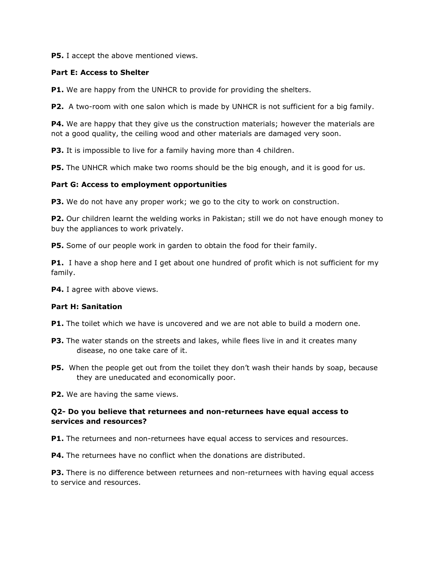**P5.** I accept the above mentioned views.

#### **Part E: Access to Shelter**

**P1.** We are happy from the UNHCR to provide for providing the shelters.

**P2.** A two-room with one salon which is made by UNHCR is not sufficient for a big family.

**P4.** We are happy that they give us the construction materials; however the materials are not a good quality, the ceiling wood and other materials are damaged very soon.

**P3.** It is impossible to live for a family having more than 4 children.

**P5.** The UNHCR which make two rooms should be the big enough, and it is good for us.

#### **Part G: Access to employment opportunities**

**P3.** We do not have any proper work; we go to the city to work on construction.

**P2.** Our children learnt the welding works in Pakistan; still we do not have enough money to buy the appliances to work privately.

**P5.** Some of our people work in garden to obtain the food for their family.

**P1.** I have a shop here and I get about one hundred of profit which is not sufficient for my family.

**P4.** I agree with above views.

#### **Part H: Sanitation**

**P1.** The toilet which we have is uncovered and we are not able to build a modern one.

- **P3.** The water stands on the streets and lakes, while flees live in and it creates many disease, no one take care of it.
- **P5.** When the people get out from the toilet they don't wash their hands by soap, because they are uneducated and economically poor.

**P2.** We are having the same views.

#### **Q2- Do you believe that returnees and non-returnees have equal access to services and resources?**

**P1.** The returnees and non-returnees have equal access to services and resources.

**P4.** The returnees have no conflict when the donations are distributed.

**P3.** There is no difference between returnees and non-returnees with having equal access to service and resources.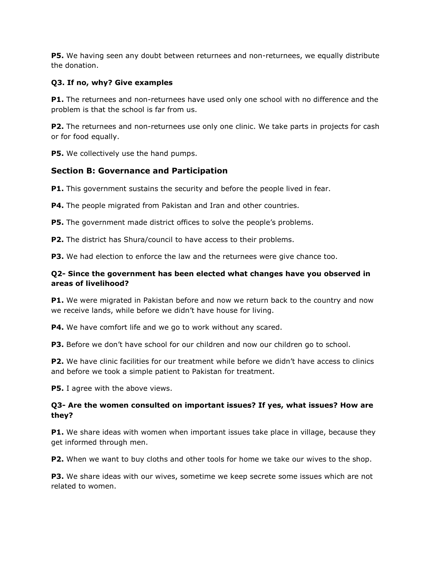**P5.** We having seen any doubt between returnees and non-returnees, we equally distribute the donation.

## **Q3. If no, why? Give examples**

**P1.** The returnees and non-returnees have used only one school with no difference and the problem is that the school is far from us.

**P2.** The returnees and non-returnees use only one clinic. We take parts in projects for cash or for food equally.

**P5.** We collectively use the hand pumps.

# **Section B: Governance and Participation**

**P1.** This government sustains the security and before the people lived in fear.

**P4.** The people migrated from Pakistan and Iran and other countries.

**P5.** The government made district offices to solve the people's problems.

**P2.** The district has Shura/council to have access to their problems.

**P3.** We had election to enforce the law and the returnees were give chance too.

### **Q2- Since the government has been elected what changes have you observed in areas of livelihood?**

**P1.** We were migrated in Pakistan before and now we return back to the country and now we receive lands, while before we didn't have house for living.

**P4.** We have comfort life and we go to work without any scared.

**P3.** Before we don't have school for our children and now our children go to school.

**P2.** We have clinic facilities for our treatment while before we didn't have access to clinics and before we took a simple patient to Pakistan for treatment.

**P5.** I agree with the above views.

## **Q3- Are the women consulted on important issues? If yes, what issues? How are they?**

**P1.** We share ideas with women when important issues take place in village, because they get informed through men.

**P2.** When we want to buy cloths and other tools for home we take our wives to the shop.

**P3.** We share ideas with our wives, sometime we keep secrete some issues which are not related to women.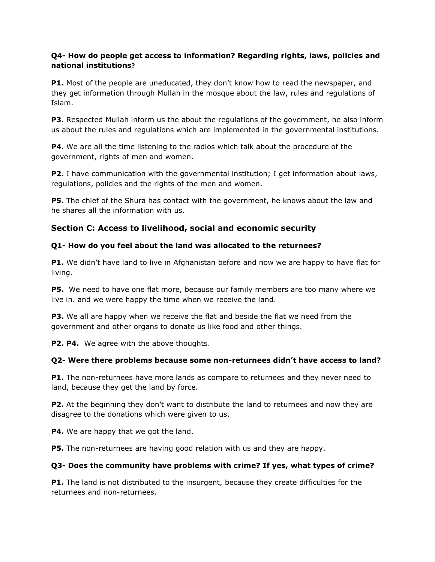## **Q4- How do people get access to information? Regarding rights, laws, policies and national institutions?**

**P1.** Most of the people are uneducated, they don't know how to read the newspaper, and they get information through Mullah in the mosque about the law, rules and regulations of Islam.

**P3.** Respected Mullah inform us the about the regulations of the government, he also inform us about the rules and regulations which are implemented in the governmental institutions.

**P4.** We are all the time listening to the radios which talk about the procedure of the government, rights of men and women.

**P2.** I have communication with the governmental institution; I get information about laws, regulations, policies and the rights of the men and women.

**P5.** The chief of the Shura has contact with the government, he knows about the law and he shares all the information with us.

# **Section C: Access to livelihood, social and economic security**

## **Q1- How do you feel about the land was allocated to the returnees?**

**P1.** We didn't have land to live in Afghanistan before and now we are happy to have flat for living.

**P5.** We need to have one flat more, because our family members are too many where we live in. and we were happy the time when we receive the land.

**P3.** We all are happy when we receive the flat and beside the flat we need from the government and other organs to donate us like food and other things.

**P2. P4.** We agree with the above thoughts.

#### **Q2- Were there problems because some non-returnees didn't have access to land?**

**P1.** The non-returnees have more lands as compare to returnees and they never need to land, because they get the land by force.

**P2.** At the beginning they don't want to distribute the land to returnees and now they are disagree to the donations which were given to us.

**P4.** We are happy that we got the land.

**P5.** The non-returnees are having good relation with us and they are happy.

#### **Q3- Does the community have problems with crime? If yes, what types of crime?**

**P1.** The land is not distributed to the insurgent, because they create difficulties for the returnees and non-returnees.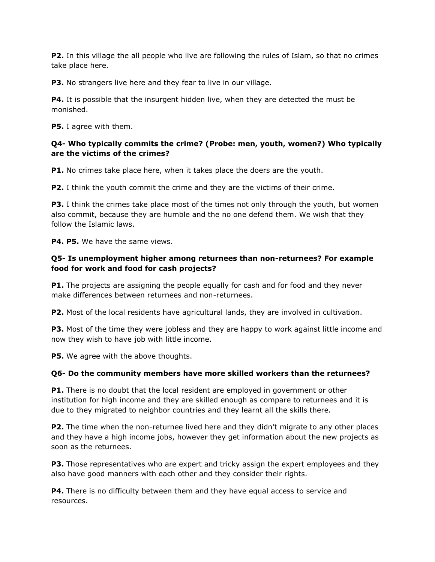**P2.** In this village the all people who live are following the rules of Islam, so that no crimes take place here.

**P3.** No strangers live here and they fear to live in our village.

**P4.** It is possible that the insurgent hidden live, when they are detected the must be monished.

**P5.** I agree with them.

#### **Q4- Who typically commits the crime? (Probe: men, youth, women?) Who typically are the victims of the crimes?**

**P1.** No crimes take place here, when it takes place the doers are the youth.

**P2.** I think the youth commit the crime and they are the victims of their crime.

**P3.** I think the crimes take place most of the times not only through the youth, but women also commit, because they are humble and the no one defend them. We wish that they follow the Islamic laws.

**P4. P5.** We have the same views.

## **Q5- Is unemployment higher among returnees than non-returnees? For example food for work and food for cash projects?**

**P1.** The projects are assigning the people equally for cash and for food and they never make differences between returnees and non-returnees.

**P2.** Most of the local residents have agricultural lands, they are involved in cultivation.

**P3.** Most of the time they were jobless and they are happy to work against little income and now they wish to have job with little income.

**P5.** We agree with the above thoughts.

# **Q6- Do the community members have more skilled workers than the returnees?**

**P1.** There is no doubt that the local resident are employed in government or other institution for high income and they are skilled enough as compare to returnees and it is due to they migrated to neighbor countries and they learnt all the skills there.

**P2.** The time when the non-returnee lived here and they didn't migrate to any other places and they have a high income jobs, however they get information about the new projects as soon as the returnees.

**P3.** Those representatives who are expert and tricky assign the expert employees and they also have good manners with each other and they consider their rights.

**P4.** There is no difficulty between them and they have equal access to service and resources.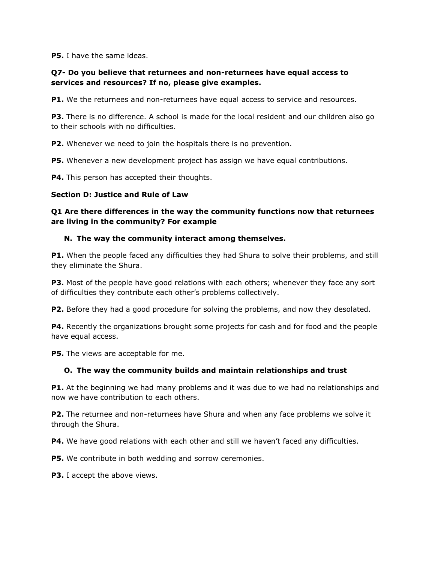**P5.** I have the same ideas.

## **Q7- Do you believe that returnees and non-returnees have equal access to services and resources? If no, please give examples.**

**P1.** We the returnees and non-returnees have equal access to service and resources.

**P3.** There is no difference. A school is made for the local resident and our children also go to their schools with no difficulties.

**P2.** Whenever we need to join the hospitals there is no prevention.

**P5.** Whenever a new development project has assign we have equal contributions.

**P4.** This person has accepted their thoughts.

#### **Section D: Justice and Rule of Law**

**Q1 Are there differences in the way the community functions now that returnees are living in the community? For example**

#### **N. The way the community interact among themselves.**

**P1.** When the people faced any difficulties they had Shura to solve their problems, and still they eliminate the Shura.

**P3.** Most of the people have good relations with each others; whenever they face any sort of difficulties they contribute each other's problems collectively.

**P2.** Before they had a good procedure for solving the problems, and now they desolated.

**P4.** Recently the organizations brought some projects for cash and for food and the people have equal access.

**P5.** The views are acceptable for me.

#### **O. The way the community builds and maintain relationships and trust**

**P1.** At the beginning we had many problems and it was due to we had no relationships and now we have contribution to each others.

**P2.** The returnee and non-returnees have Shura and when any face problems we solve it through the Shura.

**P4.** We have good relations with each other and still we haven't faced any difficulties.

**P5.** We contribute in both wedding and sorrow ceremonies.

**P3.** I accept the above views.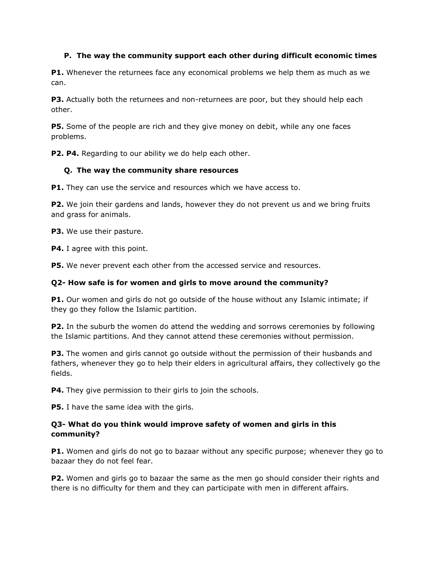#### **P. The way the community support each other during difficult economic times**

**P1.** Whenever the returnees face any economical problems we help them as much as we can.

**P3.** Actually both the returnees and non-returnees are poor, but they should help each other.

**P5.** Some of the people are rich and they give money on debit, while any one faces problems.

**P2. P4.** Regarding to our ability we do help each other.

#### **Q. The way the community share resources**

**P1.** They can use the service and resources which we have access to.

**P2.** We join their gardens and lands, however they do not prevent us and we bring fruits and grass for animals.

**P3.** We use their pasture.

**P4.** I agree with this point.

**P5.** We never prevent each other from the accessed service and resources.

#### **Q2- How safe is for women and girls to move around the community?**

**P1.** Our women and girls do not go outside of the house without any Islamic intimate; if they go they follow the Islamic partition.

**P2.** In the suburb the women do attend the wedding and sorrows ceremonies by following the Islamic partitions. And they cannot attend these ceremonies without permission.

**P3.** The women and girls cannot go outside without the permission of their husbands and fathers, whenever they go to help their elders in agricultural affairs, they collectively go the fields.

**P4.** They give permission to their girls to join the schools.

**P5.** I have the same idea with the girls.

## **Q3- What do you think would improve safety of women and girls in this community?**

**P1.** Women and girls do not go to bazaar without any specific purpose; whenever they go to bazaar they do not feel fear.

**P2.** Women and girls go to bazaar the same as the men go should consider their rights and there is no difficulty for them and they can participate with men in different affairs.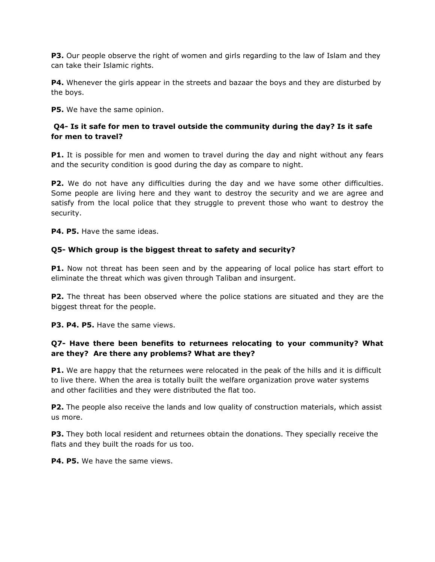**P3.** Our people observe the right of women and girls regarding to the law of Islam and they can take their Islamic rights.

**P4.** Whenever the girls appear in the streets and bazaar the boys and they are disturbed by the boys.

**P5.** We have the same opinion.

### **Q4- Is it safe for men to travel outside the community during the day? Is it safe for men to travel?**

**P1.** It is possible for men and women to travel during the day and night without any fears and the security condition is good during the day as compare to night.

**P2.** We do not have any difficulties during the day and we have some other difficulties. Some people are living here and they want to destroy the security and we are agree and satisfy from the local police that they struggle to prevent those who want to destroy the security.

**P4. P5.** Have the same ideas.

#### **Q5- Which group is the biggest threat to safety and security?**

**P1.** Now not threat has been seen and by the appearing of local police has start effort to eliminate the threat which was given through Taliban and insurgent.

**P2.** The threat has been observed where the police stations are situated and they are the biggest threat for the people.

**P3. P4. P5.** Have the same views.

## **Q7- Have there been benefits to returnees relocating to your community? What are they? Are there any problems? What are they?**

**P1.** We are happy that the returnees were relocated in the peak of the hills and it is difficult to live there. When the area is totally built the welfare organization prove water systems and other facilities and they were distributed the flat too.

**P2.** The people also receive the lands and low quality of construction materials, which assist us more.

**P3.** They both local resident and returnees obtain the donations. They specially receive the flats and they built the roads for us too.

**P4. P5.** We have the same views.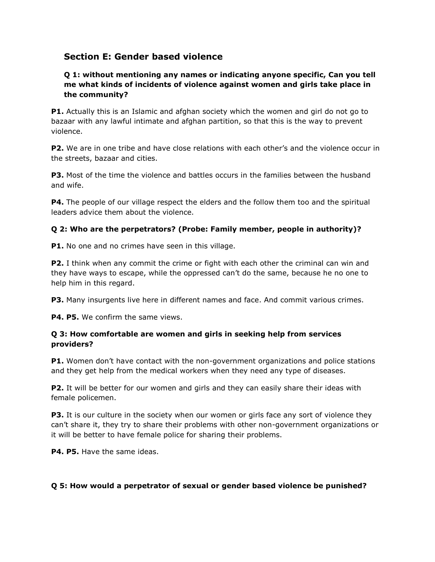# **Section E: Gender based violence**

## **Q 1: without mentioning any names or indicating anyone specific, Can you tell me what kinds of incidents of violence against women and girls take place in the community?**

**P1.** Actually this is an Islamic and afghan society which the women and girl do not go to bazaar with any lawful intimate and afghan partition, so that this is the way to prevent violence.

**P2.** We are in one tribe and have close relations with each other's and the violence occur in the streets, bazaar and cities.

**P3.** Most of the time the violence and battles occurs in the families between the husband and wife.

**P4.** The people of our village respect the elders and the follow them too and the spiritual leaders advice them about the violence.

## **Q 2: Who are the perpetrators? (Probe: Family member, people in authority)?**

**P1.** No one and no crimes have seen in this village.

**P2.** I think when any commit the crime or fight with each other the criminal can win and they have ways to escape, while the oppressed can't do the same, because he no one to help him in this regard.

**P3.** Many insurgents live here in different names and face. And commit various crimes.

**P4. P5.** We confirm the same views.

#### **Q 3: How comfortable are women and girls in seeking help from services providers?**

**P1.** Women don't have contact with the non-government organizations and police stations and they get help from the medical workers when they need any type of diseases.

**P2.** It will be better for our women and girls and they can easily share their ideas with female policemen.

**P3.** It is our culture in the society when our women or girls face any sort of violence they can't share it, they try to share their problems with other non-government organizations or it will be better to have female police for sharing their problems.

**P4. P5.** Have the same ideas.

#### **Q 5: How would a perpetrator of sexual or gender based violence be punished?**